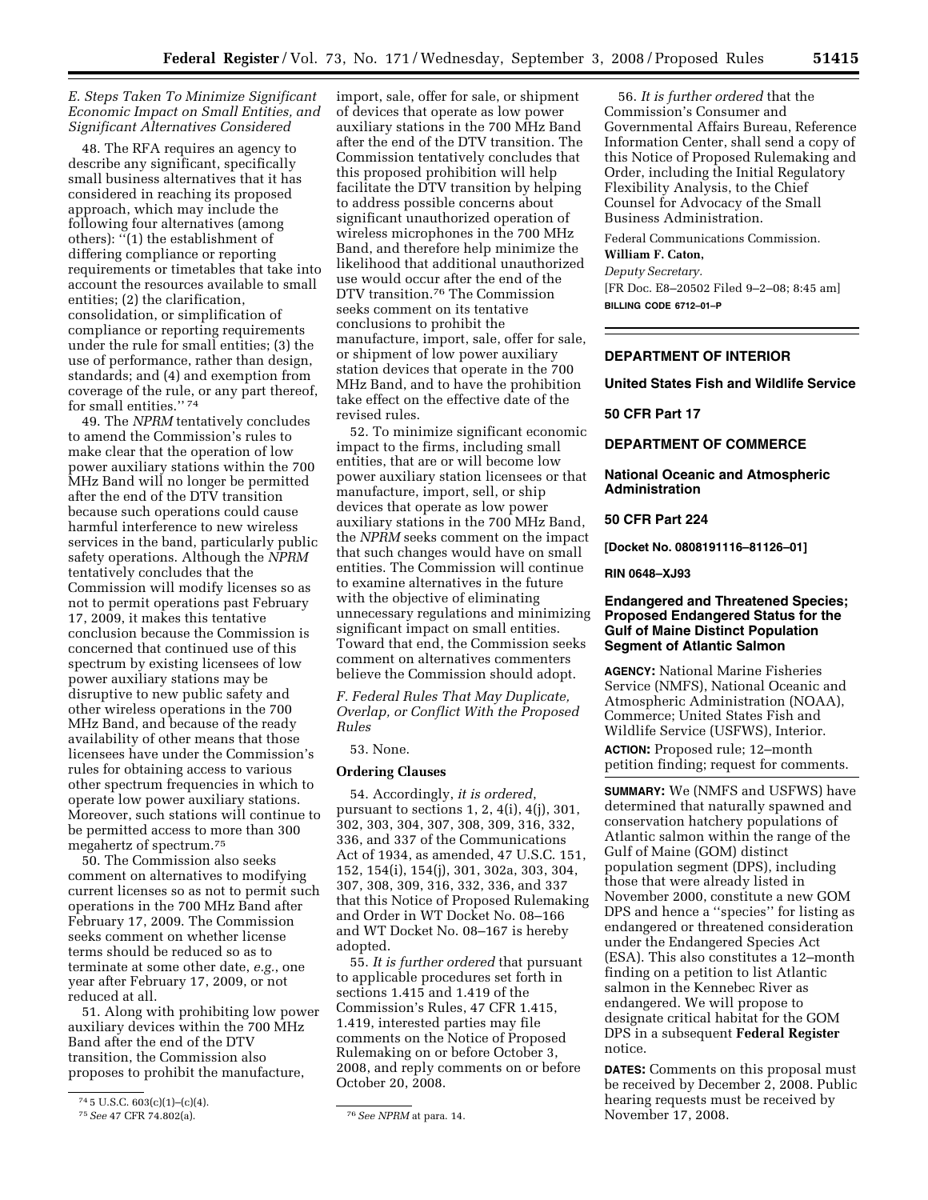## *E. Steps Taken To Minimize Significant Economic Impact on Small Entities, and Significant Alternatives Considered*

48. The RFA requires an agency to describe any significant, specifically small business alternatives that it has considered in reaching its proposed approach, which may include the following four alternatives (among others):  $\cdot$ <sup>7</sup>(1) the establishment of differing compliance or reporting requirements or timetables that take into account the resources available to small entities; (2) the clarification, consolidation, or simplification of compliance or reporting requirements under the rule for small entities; (3) the use of performance, rather than design, standards; and (4) and exemption from coverage of the rule, or any part thereof, for small entities."<sup>74</sup>

49. The *NPRM* tentatively concludes to amend the Commission's rules to make clear that the operation of low power auxiliary stations within the 700 MHz Band will no longer be permitted after the end of the DTV transition because such operations could cause harmful interference to new wireless services in the band, particularly public safety operations. Although the *NPRM*  tentatively concludes that the Commission will modify licenses so as not to permit operations past February 17, 2009, it makes this tentative conclusion because the Commission is concerned that continued use of this spectrum by existing licensees of low power auxiliary stations may be disruptive to new public safety and other wireless operations in the 700 MHz Band, and because of the ready availability of other means that those licensees have under the Commission's rules for obtaining access to various other spectrum frequencies in which to operate low power auxiliary stations. Moreover, such stations will continue to be permitted access to more than 300 megahertz of spectrum.75

50. The Commission also seeks comment on alternatives to modifying current licenses so as not to permit such operations in the 700 MHz Band after February 17, 2009. The Commission seeks comment on whether license terms should be reduced so as to terminate at some other date, *e.g.*, one year after February 17, 2009, or not reduced at all.

51. Along with prohibiting low power auxiliary devices within the 700 MHz Band after the end of the DTV transition, the Commission also proposes to prohibit the manufacture,

import, sale, offer for sale, or shipment of devices that operate as low power auxiliary stations in the 700 MHz Band after the end of the DTV transition. The Commission tentatively concludes that this proposed prohibition will help facilitate the DTV transition by helping to address possible concerns about significant unauthorized operation of wireless microphones in the 700 MHz Band, and therefore help minimize the likelihood that additional unauthorized use would occur after the end of the DTV transition.76 The Commission seeks comment on its tentative conclusions to prohibit the manufacture, import, sale, offer for sale, or shipment of low power auxiliary station devices that operate in the 700 MHz Band, and to have the prohibition take effect on the effective date of the revised rules.

52. To minimize significant economic impact to the firms, including small entities, that are or will become low power auxiliary station licensees or that manufacture, import, sell, or ship devices that operate as low power auxiliary stations in the 700 MHz Band, the *NPRM* seeks comment on the impact that such changes would have on small entities. The Commission will continue to examine alternatives in the future with the objective of eliminating unnecessary regulations and minimizing significant impact on small entities. Toward that end, the Commission seeks comment on alternatives commenters believe the Commission should adopt.

*F. Federal Rules That May Duplicate, Overlap, or Conflict With the Proposed Rules* 

## 53. None.

#### **Ordering Clauses**

54. Accordingly, *it is ordered*, pursuant to sections 1, 2, 4(i), 4(j), 301, 302, 303, 304, 307, 308, 309, 316, 332, 336, and 337 of the Communications Act of 1934, as amended, 47 U.S.C. 151, 152, 154(i), 154(j), 301, 302a, 303, 304, 307, 308, 309, 316, 332, 336, and 337 that this Notice of Proposed Rulemaking and Order in WT Docket No. 08–166 and WT Docket No. 08–167 is hereby adopted.

55. *It is further ordered* that pursuant to applicable procedures set forth in sections 1.415 and 1.419 of the Commission's Rules, 47 CFR 1.415, 1.419, interested parties may file comments on the Notice of Proposed Rulemaking on or before October 3, 2008, and reply comments on or before October 20, 2008.

56. *It is further ordered* that the Commission's Consumer and Governmental Affairs Bureau, Reference Information Center, shall send a copy of this Notice of Proposed Rulemaking and Order, including the Initial Regulatory Flexibility Analysis, to the Chief Counsel for Advocacy of the Small Business Administration.

Federal Communications Commission.

#### **William F. Caton,**

*Deputy Secretary.*  [FR Doc. E8–20502 Filed 9–2–08; 8:45 am] **BILLING CODE 6712–01–P** 

# **DEPARTMENT OF INTERIOR**

## **United States Fish and Wildlife Service**

#### **50 CFR Part 17**

## **DEPARTMENT OF COMMERCE**

## **National Oceanic and Atmospheric Administration**

# **50 CFR Part 224**

**[Docket No. 0808191116–81126–01]** 

## **RIN 0648–XJ93**

# **Endangered and Threatened Species; Proposed Endangered Status for the Gulf of Maine Distinct Population Segment of Atlantic Salmon**

**AGENCY:** National Marine Fisheries Service (NMFS), National Oceanic and Atmospheric Administration (NOAA), Commerce; United States Fish and Wildlife Service (USFWS), Interior.

**ACTION:** Proposed rule; 12–month petition finding; request for comments.

**SUMMARY:** We (NMFS and USFWS) have determined that naturally spawned and conservation hatchery populations of Atlantic salmon within the range of the Gulf of Maine (GOM) distinct population segment (DPS), including those that were already listed in November 2000, constitute a new GOM DPS and hence a ''species'' for listing as endangered or threatened consideration under the Endangered Species Act (ESA). This also constitutes a 12–month finding on a petition to list Atlantic salmon in the Kennebec River as endangered. We will propose to designate critical habitat for the GOM DPS in a subsequent **Federal Register**  notice.

**DATES:** Comments on this proposal must be received by December 2, 2008. Public hearing requests must be received by November 17, 2008.

<sup>74</sup> 5 U.S.C. 603(c)(1)–(c)(4).

<sup>75</sup>*See* 47 CFR 74.802(a). 76*See NPRM* at para. 14.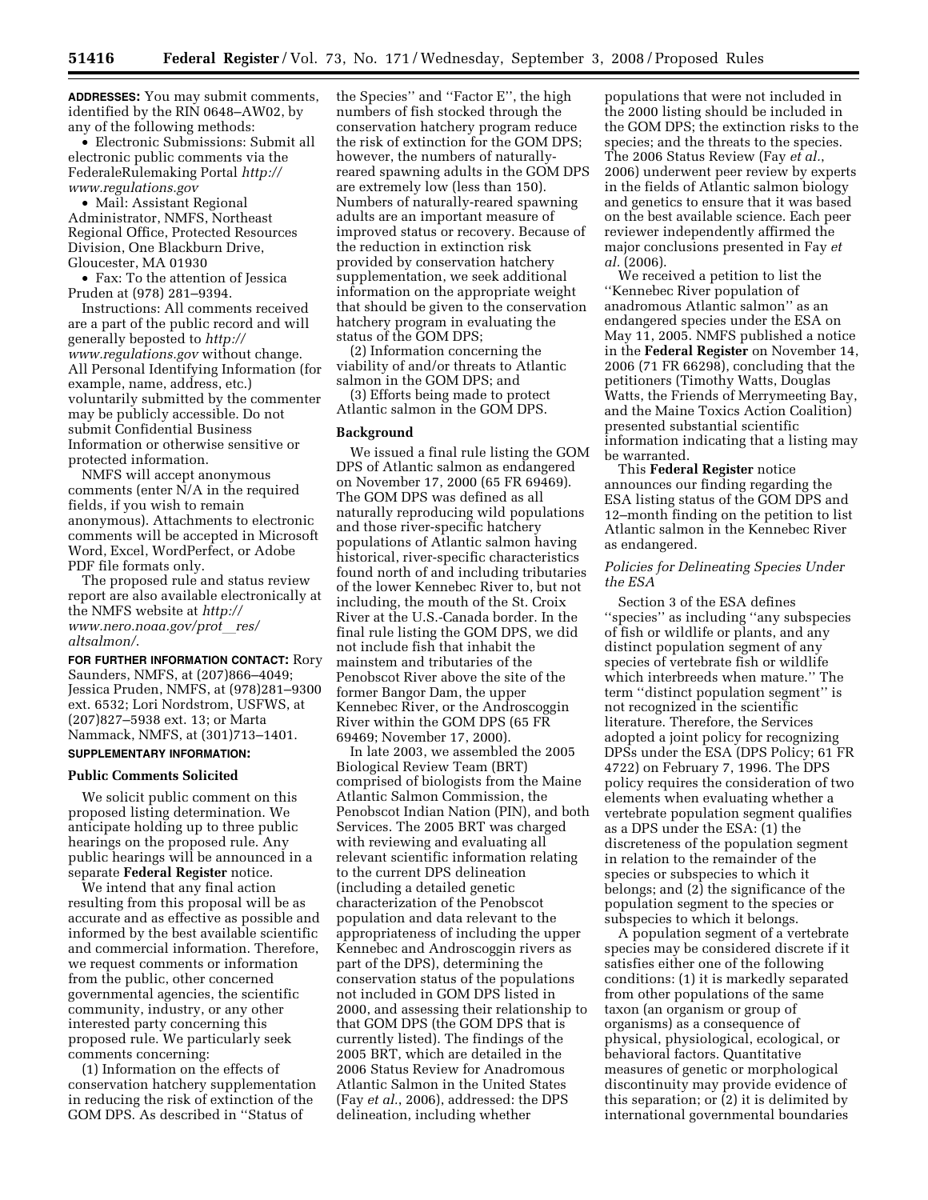**ADDRESSES:** You may submit comments, identified by the RIN 0648–AW02, by any of the following methods:

• Electronic Submissions: Submit all electronic public comments via the FederaleRulemaking Portal *http:// www.regulations.gov* 

• Mail: Assistant Regional Administrator, NMFS, Northeast Regional Office, Protected Resources Division, One Blackburn Drive, Gloucester, MA 01930

• Fax: To the attention of Jessica Pruden at (978) 281–9394.

Instructions: All comments received are a part of the public record and will generally beposted to *http:// www.regulations.gov* without change. All Personal Identifying Information (for example, name, address, etc.) voluntarily submitted by the commenter may be publicly accessible. Do not submit Confidential Business Information or otherwise sensitive or protected information.

NMFS will accept anonymous comments (enter N/A in the required fields, if you wish to remain anonymous). Attachments to electronic comments will be accepted in Microsoft Word, Excel, WordPerfect, or Adobe PDF file formats only.

The proposed rule and status review report are also available electronically at the NMFS website at *http:// www.nero.noaa.gov/prot*l*res/ altsalmon/*.

**FOR FURTHER INFORMATION CONTACT:** Rory Saunders, NMFS, at (207)866–4049; Jessica Pruden, NMFS, at (978)281–9300 ext. 6532; Lori Nordstrom, USFWS, at (207)827–5938 ext. 13; or Marta Nammack, NMFS, at (301)713–1401. **SUPPLEMENTARY INFORMATION:** 

# **Public Comments Solicited**

We solicit public comment on this proposed listing determination. We anticipate holding up to three public hearings on the proposed rule. Any public hearings will be announced in a separate **Federal Register** notice.

We intend that any final action resulting from this proposal will be as accurate and as effective as possible and informed by the best available scientific and commercial information. Therefore, we request comments or information from the public, other concerned governmental agencies, the scientific community, industry, or any other interested party concerning this proposed rule. We particularly seek comments concerning:

(1) Information on the effects of conservation hatchery supplementation in reducing the risk of extinction of the GOM DPS. As described in ''Status of

the Species'' and ''Factor E'', the high numbers of fish stocked through the conservation hatchery program reduce the risk of extinction for the GOM DPS; however, the numbers of naturallyreared spawning adults in the GOM DPS are extremely low (less than 150). Numbers of naturally-reared spawning adults are an important measure of improved status or recovery. Because of the reduction in extinction risk provided by conservation hatchery supplementation, we seek additional information on the appropriate weight that should be given to the conservation hatchery program in evaluating the status of the GOM DPS;

(2) Information concerning the viability of and/or threats to Atlantic salmon in the GOM DPS; and

(3) Efforts being made to protect Atlantic salmon in the GOM DPS.

## **Background**

We issued a final rule listing the GOM DPS of Atlantic salmon as endangered on November 17, 2000 (65 FR 69469). The GOM DPS was defined as all naturally reproducing wild populations and those river-specific hatchery populations of Atlantic salmon having historical, river-specific characteristics found north of and including tributaries of the lower Kennebec River to, but not including, the mouth of the St. Croix River at the U.S.-Canada border. In the final rule listing the GOM DPS, we did not include fish that inhabit the mainstem and tributaries of the Penobscot River above the site of the former Bangor Dam, the upper Kennebec River, or the Androscoggin River within the GOM DPS (65 FR 69469; November 17, 2000).

In late 2003, we assembled the 2005 Biological Review Team (BRT) comprised of biologists from the Maine Atlantic Salmon Commission, the Penobscot Indian Nation (PIN), and both Services. The 2005 BRT was charged with reviewing and evaluating all relevant scientific information relating to the current DPS delineation (including a detailed genetic characterization of the Penobscot population and data relevant to the appropriateness of including the upper Kennebec and Androscoggin rivers as part of the DPS), determining the conservation status of the populations not included in GOM DPS listed in 2000, and assessing their relationship to that GOM DPS (the GOM DPS that is currently listed). The findings of the 2005 BRT, which are detailed in the 2006 Status Review for Anadromous Atlantic Salmon in the United States (Fay *et al.*, 2006), addressed: the DPS delineation, including whether

populations that were not included in the 2000 listing should be included in the GOM DPS; the extinction risks to the species; and the threats to the species. The 2006 Status Review (Fay *et al.*, 2006) underwent peer review by experts in the fields of Atlantic salmon biology and genetics to ensure that it was based on the best available science. Each peer reviewer independently affirmed the major conclusions presented in Fay *et al.* (2006).

We received a petition to list the ''Kennebec River population of anadromous Atlantic salmon'' as an endangered species under the ESA on May 11, 2005. NMFS published a notice in the **Federal Register** on November 14, 2006 (71 FR 66298), concluding that the petitioners (Timothy Watts, Douglas Watts, the Friends of Merrymeeting Bay, and the Maine Toxics Action Coalition) presented substantial scientific information indicating that a listing may be warranted.

This **Federal Register** notice announces our finding regarding the ESA listing status of the GOM DPS and 12–month finding on the petition to list Atlantic salmon in the Kennebec River as endangered.

## *Policies for Delineating Species Under the ESA*

Section 3 of the ESA defines ''species'' as including ''any subspecies of fish or wildlife or plants, and any distinct population segment of any species of vertebrate fish or wildlife which interbreeds when mature.'' The term ''distinct population segment'' is not recognized in the scientific literature. Therefore, the Services adopted a joint policy for recognizing DPSs under the ESA (DPS Policy; 61 FR 4722) on February 7, 1996. The DPS policy requires the consideration of two elements when evaluating whether a vertebrate population segment qualifies as a DPS under the ESA: (1) the discreteness of the population segment in relation to the remainder of the species or subspecies to which it belongs; and (2) the significance of the population segment to the species or subspecies to which it belongs.

A population segment of a vertebrate species may be considered discrete if it satisfies either one of the following conditions: (1) it is markedly separated from other populations of the same taxon (an organism or group of organisms) as a consequence of physical, physiological, ecological, or behavioral factors. Quantitative measures of genetic or morphological discontinuity may provide evidence of this separation; or (2) it is delimited by international governmental boundaries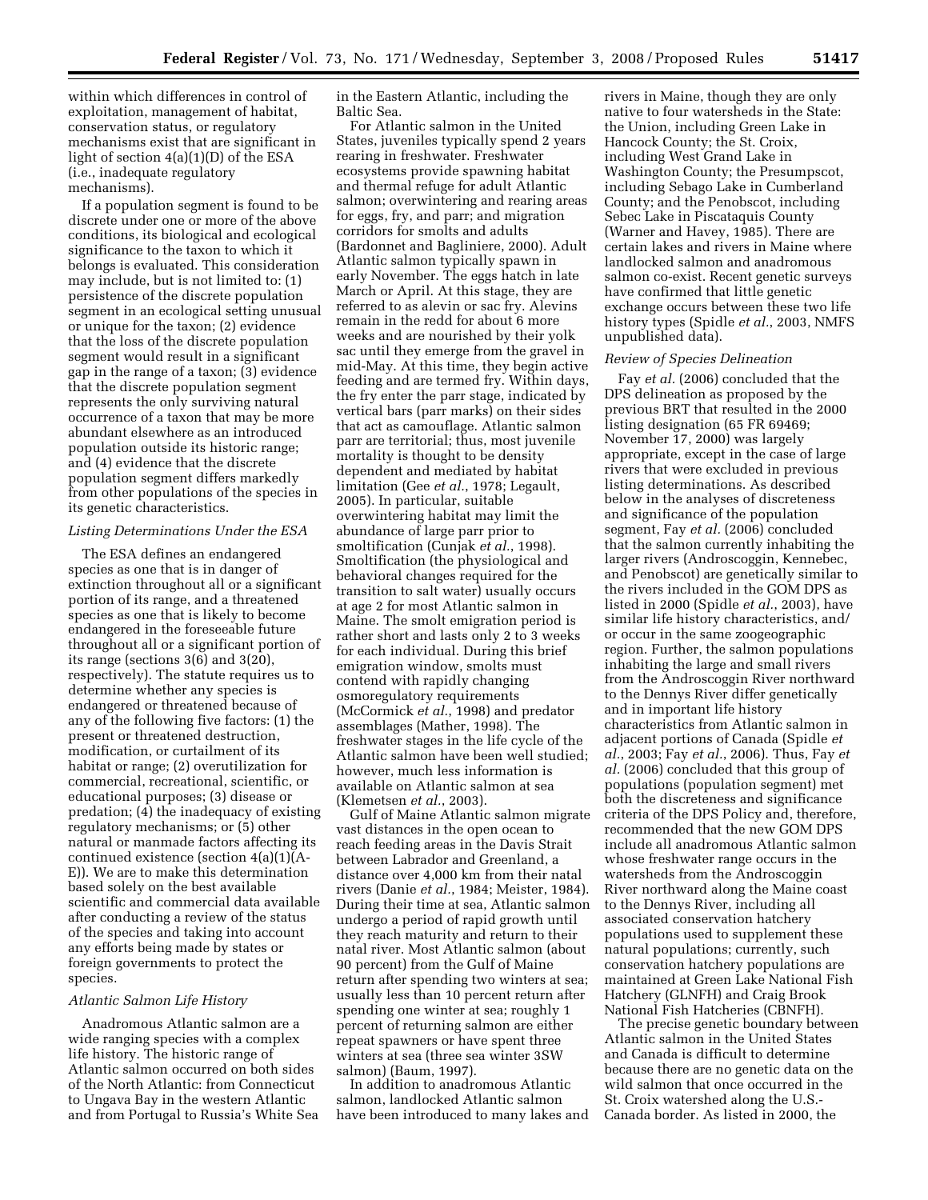within which differences in control of exploitation, management of habitat, conservation status, or regulatory mechanisms exist that are significant in light of section 4(a)(1)(D) of the ESA (i.e., inadequate regulatory mechanisms).

If a population segment is found to be discrete under one or more of the above conditions, its biological and ecological significance to the taxon to which it belongs is evaluated. This consideration may include, but is not limited to: (1) persistence of the discrete population segment in an ecological setting unusual or unique for the taxon; (2) evidence that the loss of the discrete population segment would result in a significant gap in the range of a taxon; (3) evidence that the discrete population segment represents the only surviving natural occurrence of a taxon that may be more abundant elsewhere as an introduced population outside its historic range; and (4) evidence that the discrete population segment differs markedly from other populations of the species in its genetic characteristics.

## *Listing Determinations Under the ESA*

The ESA defines an endangered species as one that is in danger of extinction throughout all or a significant portion of its range, and a threatened species as one that is likely to become endangered in the foreseeable future throughout all or a significant portion of its range (sections 3(6) and 3(20), respectively). The statute requires us to determine whether any species is endangered or threatened because of any of the following five factors: (1) the present or threatened destruction, modification, or curtailment of its habitat or range; (2) overutilization for commercial, recreational, scientific, or educational purposes; (3) disease or predation; (4) the inadequacy of existing regulatory mechanisms; or (5) other natural or manmade factors affecting its continued existence (section 4(a)(1)(A-E)). We are to make this determination based solely on the best available scientific and commercial data available after conducting a review of the status of the species and taking into account any efforts being made by states or foreign governments to protect the species.

#### *Atlantic Salmon Life History*

Anadromous Atlantic salmon are a wide ranging species with a complex life history. The historic range of Atlantic salmon occurred on both sides of the North Atlantic: from Connecticut to Ungava Bay in the western Atlantic and from Portugal to Russia's White Sea in the Eastern Atlantic, including the Baltic Sea.

For Atlantic salmon in the United States, juveniles typically spend 2 years rearing in freshwater. Freshwater ecosystems provide spawning habitat and thermal refuge for adult Atlantic salmon; overwintering and rearing areas for eggs, fry, and parr; and migration corridors for smolts and adults (Bardonnet and Bagliniere, 2000). Adult Atlantic salmon typically spawn in early November. The eggs hatch in late March or April. At this stage, they are referred to as alevin or sac fry. Alevins remain in the redd for about 6 more weeks and are nourished by their yolk sac until they emerge from the gravel in mid-May. At this time, they begin active feeding and are termed fry. Within days, the fry enter the parr stage, indicated by vertical bars (parr marks) on their sides that act as camouflage. Atlantic salmon parr are territorial; thus, most juvenile mortality is thought to be density dependent and mediated by habitat limitation (Gee *et al.*, 1978; Legault, 2005). In particular, suitable overwintering habitat may limit the abundance of large parr prior to smoltification (Cunjak *et al.*, 1998). Smoltification (the physiological and behavioral changes required for the transition to salt water) usually occurs at age 2 for most Atlantic salmon in Maine. The smolt emigration period is rather short and lasts only 2 to 3 weeks for each individual. During this brief emigration window, smolts must contend with rapidly changing osmoregulatory requirements (McCormick *et al.*, 1998) and predator assemblages (Mather, 1998). The freshwater stages in the life cycle of the Atlantic salmon have been well studied; however, much less information is available on Atlantic salmon at sea (Klemetsen *et al.*, 2003).

Gulf of Maine Atlantic salmon migrate vast distances in the open ocean to reach feeding areas in the Davis Strait between Labrador and Greenland, a distance over 4,000 km from their natal rivers (Danie *et al.*, 1984; Meister, 1984). During their time at sea, Atlantic salmon undergo a period of rapid growth until they reach maturity and return to their natal river. Most Atlantic salmon (about 90 percent) from the Gulf of Maine return after spending two winters at sea; usually less than 10 percent return after spending one winter at sea; roughly 1 percent of returning salmon are either repeat spawners or have spent three winters at sea (three sea winter 3SW salmon) (Baum, 1997).

In addition to anadromous Atlantic salmon, landlocked Atlantic salmon have been introduced to many lakes and

rivers in Maine, though they are only native to four watersheds in the State: the Union, including Green Lake in Hancock County; the St. Croix, including West Grand Lake in Washington County; the Presumpscot, including Sebago Lake in Cumberland County; and the Penobscot, including Sebec Lake in Piscataquis County (Warner and Havey, 1985). There are certain lakes and rivers in Maine where landlocked salmon and anadromous salmon co-exist. Recent genetic surveys have confirmed that little genetic exchange occurs between these two life history types (Spidle *et al.*, 2003, NMFS unpublished data).

#### *Review of Species Delineation*

Fay *et al.* (2006) concluded that the DPS delineation as proposed by the previous BRT that resulted in the 2000 listing designation (65 FR 69469; November 17, 2000) was largely appropriate, except in the case of large rivers that were excluded in previous listing determinations. As described below in the analyses of discreteness and significance of the population segment, Fay *et al.* (2006) concluded that the salmon currently inhabiting the larger rivers (Androscoggin, Kennebec, and Penobscot) are genetically similar to the rivers included in the GOM DPS as listed in 2000 (Spidle *et al.*, 2003), have similar life history characteristics, and/ or occur in the same zoogeographic region. Further, the salmon populations inhabiting the large and small rivers from the Androscoggin River northward to the Dennys River differ genetically and in important life history characteristics from Atlantic salmon in adjacent portions of Canada (Spidle *et al.*, 2003; Fay *et al.*, 2006). Thus, Fay *et al.* (2006) concluded that this group of populations (population segment) met both the discreteness and significance criteria of the DPS Policy and, therefore, recommended that the new GOM DPS include all anadromous Atlantic salmon whose freshwater range occurs in the watersheds from the Androscoggin River northward along the Maine coast to the Dennys River, including all associated conservation hatchery populations used to supplement these natural populations; currently, such conservation hatchery populations are maintained at Green Lake National Fish Hatchery (GLNFH) and Craig Brook National Fish Hatcheries (CBNFH).

The precise genetic boundary between Atlantic salmon in the United States and Canada is difficult to determine because there are no genetic data on the wild salmon that once occurred in the St. Croix watershed along the U.S.- Canada border. As listed in 2000, the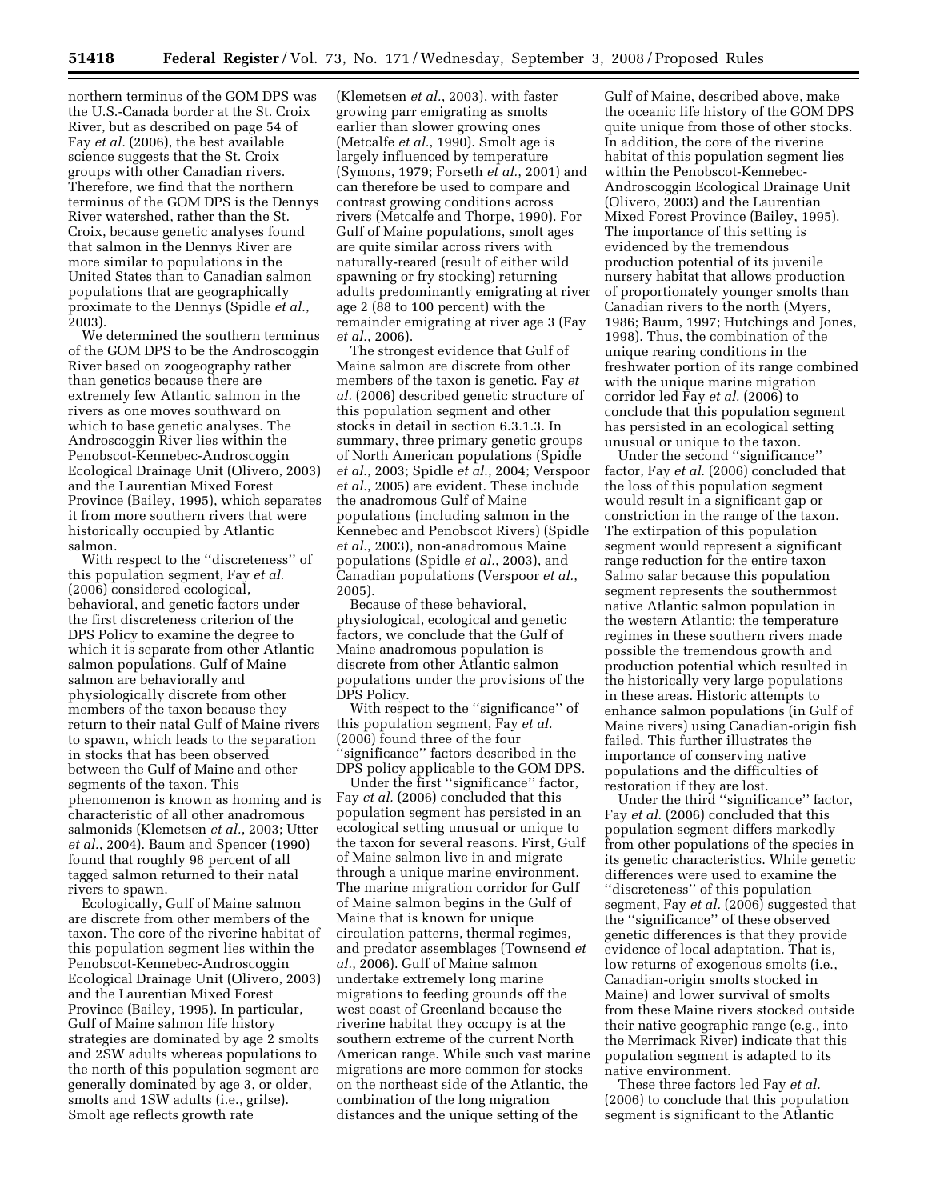northern terminus of the GOM DPS was the U.S.-Canada border at the St. Croix River, but as described on page 54 of Fay *et al.* (2006), the best available science suggests that the St. Croix groups with other Canadian rivers. Therefore, we find that the northern terminus of the GOM DPS is the Dennys River watershed, rather than the St. Croix, because genetic analyses found that salmon in the Dennys River are more similar to populations in the United States than to Canadian salmon populations that are geographically proximate to the Dennys (Spidle *et al.*, 2003).

We determined the southern terminus of the GOM DPS to be the Androscoggin River based on zoogeography rather than genetics because there are extremely few Atlantic salmon in the rivers as one moves southward on which to base genetic analyses. The Androscoggin River lies within the Penobscot-Kennebec-Androscoggin Ecological Drainage Unit (Olivero, 2003) and the Laurentian Mixed Forest Province (Bailey, 1995), which separates it from more southern rivers that were historically occupied by Atlantic salmon.

With respect to the ''discreteness'' of this population segment, Fay *et al.*  (2006) considered ecological, behavioral, and genetic factors under the first discreteness criterion of the DPS Policy to examine the degree to which it is separate from other Atlantic salmon populations. Gulf of Maine salmon are behaviorally and physiologically discrete from other members of the taxon because they return to their natal Gulf of Maine rivers to spawn, which leads to the separation in stocks that has been observed between the Gulf of Maine and other segments of the taxon. This phenomenon is known as homing and is characteristic of all other anadromous salmonids (Klemetsen *et al.*, 2003; Utter *et al.*, 2004). Baum and Spencer (1990) found that roughly 98 percent of all tagged salmon returned to their natal rivers to spawn.

Ecologically, Gulf of Maine salmon are discrete from other members of the taxon. The core of the riverine habitat of this population segment lies within the Penobscot-Kennebec-Androscoggin Ecological Drainage Unit (Olivero, 2003) and the Laurentian Mixed Forest Province (Bailey, 1995). In particular, Gulf of Maine salmon life history strategies are dominated by age 2 smolts and 2SW adults whereas populations to the north of this population segment are generally dominated by age 3, or older, smolts and 1SW adults (i.e., grilse). Smolt age reflects growth rate

(Klemetsen *et al.*, 2003), with faster growing parr emigrating as smolts earlier than slower growing ones (Metcalfe *et al.*, 1990). Smolt age is largely influenced by temperature (Symons, 1979; Forseth *et al.*, 2001) and can therefore be used to compare and contrast growing conditions across rivers (Metcalfe and Thorpe, 1990). For Gulf of Maine populations, smolt ages are quite similar across rivers with naturally-reared (result of either wild spawning or fry stocking) returning adults predominantly emigrating at river age 2 (88 to 100 percent) with the remainder emigrating at river age 3 (Fay *et al.*, 2006).

The strongest evidence that Gulf of Maine salmon are discrete from other members of the taxon is genetic. Fay *et al.* (2006) described genetic structure of this population segment and other stocks in detail in section 6.3.1.3. In summary, three primary genetic groups of North American populations (Spidle *et al.*, 2003; Spidle *et al.*, 2004; Verspoor *et al.*, 2005) are evident. These include the anadromous Gulf of Maine populations (including salmon in the Kennebec and Penobscot Rivers) (Spidle *et al.*, 2003), non-anadromous Maine populations (Spidle *et al.*, 2003), and Canadian populations (Verspoor *et al.*, 2005).

Because of these behavioral, physiological, ecological and genetic factors, we conclude that the Gulf of Maine anadromous population is discrete from other Atlantic salmon populations under the provisions of the DPS Policy.

With respect to the ''significance'' of this population segment, Fay *et al.*  (2006) found three of the four ''significance'' factors described in the DPS policy applicable to the GOM DPS.

Under the first ''significance'' factor, Fay *et al.* (2006) concluded that this population segment has persisted in an ecological setting unusual or unique to the taxon for several reasons. First, Gulf of Maine salmon live in and migrate through a unique marine environment. The marine migration corridor for Gulf of Maine salmon begins in the Gulf of Maine that is known for unique circulation patterns, thermal regimes, and predator assemblages (Townsend *et al.*, 2006). Gulf of Maine salmon undertake extremely long marine migrations to feeding grounds off the west coast of Greenland because the riverine habitat they occupy is at the southern extreme of the current North American range. While such vast marine migrations are more common for stocks on the northeast side of the Atlantic, the combination of the long migration distances and the unique setting of the

Gulf of Maine, described above, make the oceanic life history of the GOM DPS quite unique from those of other stocks. In addition, the core of the riverine habitat of this population segment lies within the Penobscot-Kennebec-Androscoggin Ecological Drainage Unit (Olivero, 2003) and the Laurentian Mixed Forest Province (Bailey, 1995). The importance of this setting is evidenced by the tremendous production potential of its juvenile nursery habitat that allows production of proportionately younger smolts than Canadian rivers to the north (Myers, 1986; Baum, 1997; Hutchings and Jones, 1998). Thus, the combination of the unique rearing conditions in the freshwater portion of its range combined with the unique marine migration corridor led Fay *et al.* (2006) to conclude that this population segment has persisted in an ecological setting unusual or unique to the taxon.

Under the second ''significance'' factor, Fay *et al.* (2006) concluded that the loss of this population segment would result in a significant gap or constriction in the range of the taxon. The extirpation of this population segment would represent a significant range reduction for the entire taxon Salmo salar because this population segment represents the southernmost native Atlantic salmon population in the western Atlantic; the temperature regimes in these southern rivers made possible the tremendous growth and production potential which resulted in the historically very large populations in these areas. Historic attempts to enhance salmon populations (in Gulf of Maine rivers) using Canadian-origin fish failed. This further illustrates the importance of conserving native populations and the difficulties of restoration if they are lost.

Under the third ''significance'' factor, Fay *et al.* (2006) concluded that this population segment differs markedly from other populations of the species in its genetic characteristics. While genetic differences were used to examine the ''discreteness'' of this population segment, Fay *et al.* (2006) suggested that the ''significance'' of these observed genetic differences is that they provide evidence of local adaptation. That is, low returns of exogenous smolts (i.e., Canadian-origin smolts stocked in Maine) and lower survival of smolts from these Maine rivers stocked outside their native geographic range (e.g., into the Merrimack River) indicate that this population segment is adapted to its native environment.

These three factors led Fay *et al.*  (2006) to conclude that this population segment is significant to the Atlantic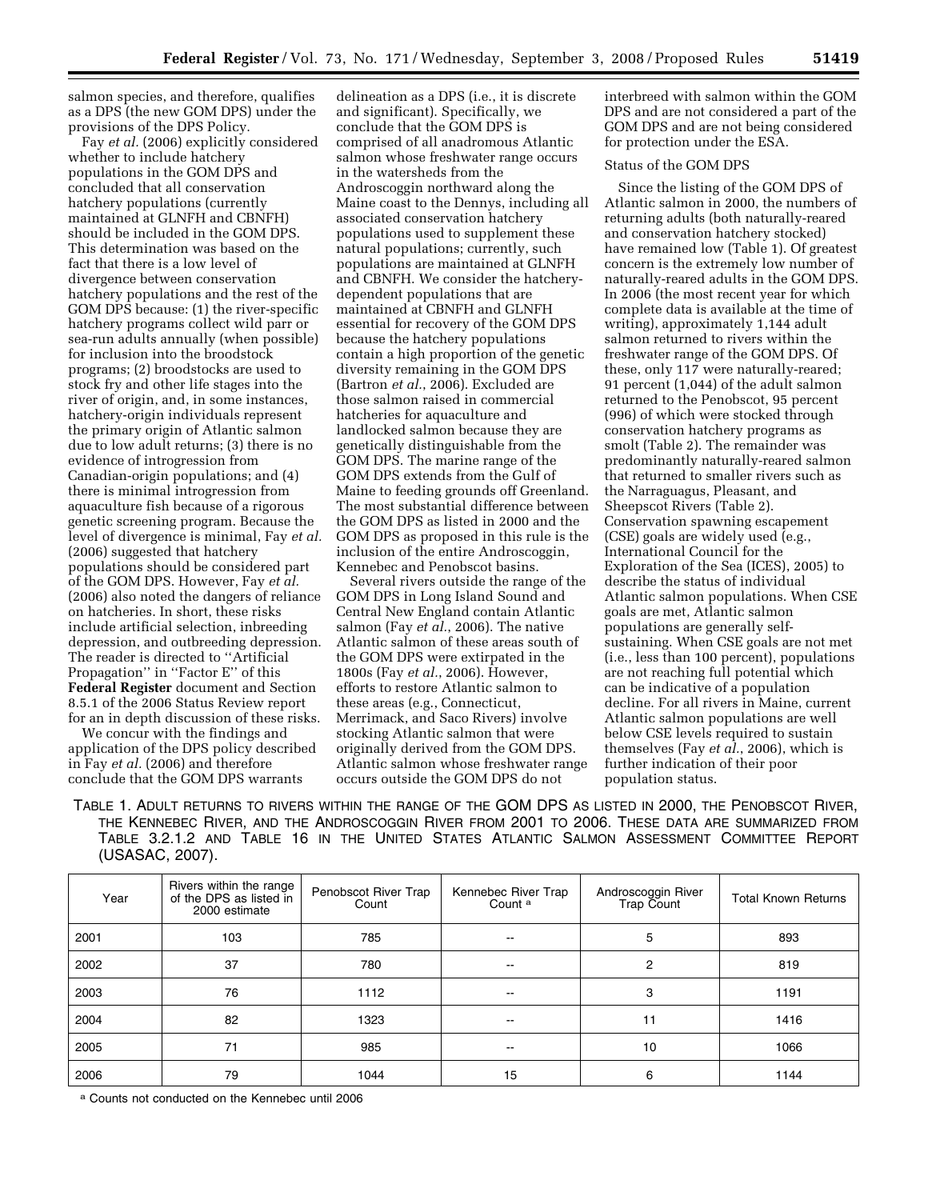salmon species, and therefore, qualifies as a DPS (the new GOM DPS) under the provisions of the DPS Policy.

Fay *et al.* (2006) explicitly considered whether to include hatchery populations in the GOM DPS and concluded that all conservation hatchery populations (currently maintained at GLNFH and CBNFH) should be included in the GOM DPS. This determination was based on the fact that there is a low level of divergence between conservation hatchery populations and the rest of the GOM DPS because: (1) the river-specific hatchery programs collect wild parr or sea-run adults annually (when possible) for inclusion into the broodstock programs; (2) broodstocks are used to stock fry and other life stages into the river of origin, and, in some instances, hatchery-origin individuals represent the primary origin of Atlantic salmon due to low adult returns; (3) there is no evidence of introgression from Canadian-origin populations; and (4) there is minimal introgression from aquaculture fish because of a rigorous genetic screening program. Because the level of divergence is minimal, Fay *et al.*  (2006) suggested that hatchery populations should be considered part of the GOM DPS. However, Fay *et al.*  (2006) also noted the dangers of reliance on hatcheries. In short, these risks include artificial selection, inbreeding depression, and outbreeding depression. The reader is directed to ''Artificial Propagation'' in ''Factor E'' of this **Federal Register** document and Section 8.5.1 of the 2006 Status Review report for an in depth discussion of these risks.

We concur with the findings and application of the DPS policy described in Fay *et al.* (2006) and therefore conclude that the GOM DPS warrants

delineation as a DPS (i.e., it is discrete and significant). Specifically, we conclude that the GOM DPS is comprised of all anadromous Atlantic salmon whose freshwater range occurs in the watersheds from the Androscoggin northward along the Maine coast to the Dennys, including all associated conservation hatchery populations used to supplement these natural populations; currently, such populations are maintained at GLNFH and CBNFH. We consider the hatcherydependent populations that are maintained at CBNFH and GLNFH essential for recovery of the GOM DPS because the hatchery populations contain a high proportion of the genetic diversity remaining in the GOM DPS (Bartron *et al.*, 2006). Excluded are those salmon raised in commercial hatcheries for aquaculture and landlocked salmon because they are genetically distinguishable from the GOM DPS. The marine range of the GOM DPS extends from the Gulf of Maine to feeding grounds off Greenland. The most substantial difference between the GOM DPS as listed in 2000 and the GOM DPS as proposed in this rule is the inclusion of the entire Androscoggin, Kennebec and Penobscot basins.

Several rivers outside the range of the GOM DPS in Long Island Sound and Central New England contain Atlantic salmon (Fay *et al.*, 2006). The native Atlantic salmon of these areas south of the GOM DPS were extirpated in the 1800s (Fay *et al.*, 2006). However, efforts to restore Atlantic salmon to these areas (e.g., Connecticut, Merrimack, and Saco Rivers) involve stocking Atlantic salmon that were originally derived from the GOM DPS. Atlantic salmon whose freshwater range occurs outside the GOM DPS do not

interbreed with salmon within the GOM DPS and are not considered a part of the GOM DPS and are not being considered for protection under the ESA.

# Status of the GOM DPS

Since the listing of the GOM DPS of Atlantic salmon in 2000, the numbers of returning adults (both naturally-reared and conservation hatchery stocked) have remained low (Table 1). Of greatest concern is the extremely low number of naturally-reared adults in the GOM DPS. In 2006 (the most recent year for which complete data is available at the time of writing), approximately 1,144 adult salmon returned to rivers within the freshwater range of the GOM DPS. Of these, only 117 were naturally-reared; 91 percent (1,044) of the adult salmon returned to the Penobscot, 95 percent (996) of which were stocked through conservation hatchery programs as smolt (Table 2). The remainder was predominantly naturally-reared salmon that returned to smaller rivers such as the Narraguagus, Pleasant, and Sheepscot Rivers (Table 2). Conservation spawning escapement (CSE) goals are widely used (e.g., International Council for the Exploration of the Sea (ICES), 2005) to describe the status of individual Atlantic salmon populations. When CSE goals are met, Atlantic salmon populations are generally selfsustaining. When CSE goals are not met (i.e., less than 100 percent), populations are not reaching full potential which can be indicative of a population decline. For all rivers in Maine, current Atlantic salmon populations are well below CSE levels required to sustain themselves (Fay *et al.*, 2006), which is further indication of their poor population status.

TABLE 1. ADULT RETURNS TO RIVERS WITHIN THE RANGE OF THE GOM DPS AS LISTED IN 2000, THE PENOBSCOT RIVER, THE KENNEBEC RIVER, AND THE ANDROSCOGGIN RIVER FROM 2001 TO 2006. THESE DATA ARE SUMMARIZED FROM TABLE 3.2.1.2 AND TABLE 16 IN THE UNITED STATES ATLANTIC SALMON ASSESSMENT COMMITTEE REPORT (USASAC, 2007).

| Year | Rivers within the range<br>of the DPS as listed in<br>2000 estimate | Penobscot River Trap<br>Count | Kennebec River Trap<br>Count <sup>a</sup> | Androscoggin River<br>Trap Count | <b>Total Known Returns</b> |
|------|---------------------------------------------------------------------|-------------------------------|-------------------------------------------|----------------------------------|----------------------------|
| 2001 | 103                                                                 | 785                           | $\overline{\phantom{a}}$                  | 5                                | 893                        |
| 2002 | 37                                                                  | 780                           | $\overline{\phantom{a}}$                  | 2                                | 819                        |
| 2003 | 76                                                                  | 1112                          | $\overline{\phantom{a}}$                  | 3                                | 1191                       |
| 2004 | 82                                                                  | 1323                          | $\overline{\phantom{a}}$                  | 11                               | 1416                       |
| 2005 | 71                                                                  | 985                           | $\overline{\phantom{a}}$                  | 10                               | 1066                       |
| 2006 | 79                                                                  | 1044                          | 15                                        | 6                                | 1144                       |

a Counts not conducted on the Kennebec until 2006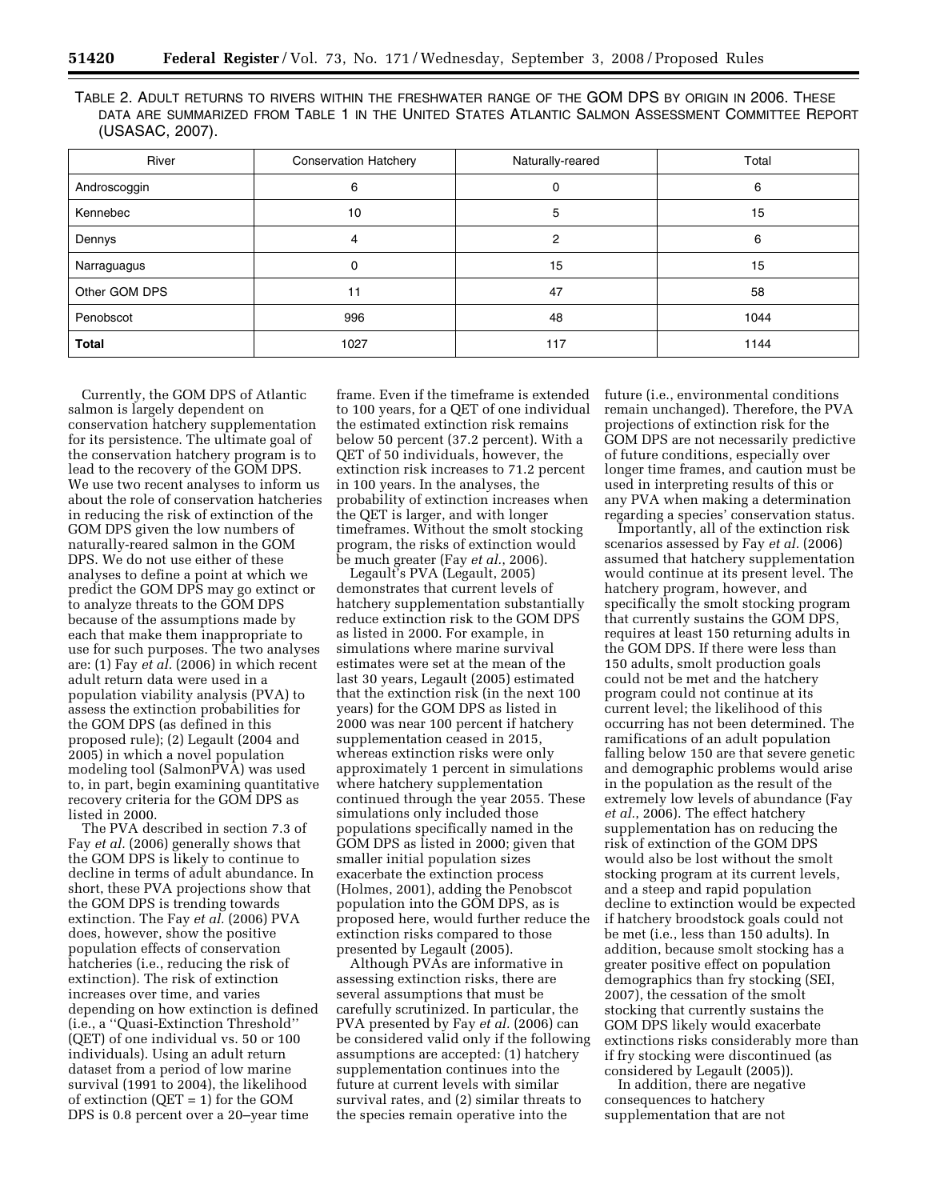| River         | <b>Conservation Hatchery</b> | Naturally-reared | Total |
|---------------|------------------------------|------------------|-------|
| Androscoggin  | 6                            | 0                | 6     |
| Kennebec      | 10                           | 5                | 15    |
| Dennys        |                              | 2                | 6     |
| Narraguagus   | 0                            | 15               | 15    |
| Other GOM DPS | 11                           | 47               | 58    |
| Penobscot     | 996                          | 48               | 1044  |
| <b>Total</b>  | 1027                         | 117              | 1144  |

TABLE 2. ADULT RETURNS TO RIVERS WITHIN THE FRESHWATER RANGE OF THE GOM DPS BY ORIGIN IN 2006. THESE DATA ARE SUMMARIZED FROM TABLE 1 IN THE UNITED STATES ATLANTIC SALMON ASSESSMENT COMMITTEE REPORT (USASAC, 2007).

Currently, the GOM DPS of Atlantic salmon is largely dependent on conservation hatchery supplementation for its persistence. The ultimate goal of the conservation hatchery program is to lead to the recovery of the GOM DPS. We use two recent analyses to inform us about the role of conservation hatcheries in reducing the risk of extinction of the GOM DPS given the low numbers of naturally-reared salmon in the GOM DPS. We do not use either of these analyses to define a point at which we predict the GOM DPS may go extinct or to analyze threats to the GOM DPS because of the assumptions made by each that make them inappropriate to use for such purposes. The two analyses are: (1) Fay *et al.* (2006) in which recent adult return data were used in a population viability analysis (PVA) to assess the extinction probabilities for the GOM DPS (as defined in this proposed rule); (2) Legault (2004 and 2005) in which a novel population modeling tool (SalmonPVA) was used to, in part, begin examining quantitative recovery criteria for the GOM DPS as listed in 2000.

The PVA described in section 7.3 of Fay *et al.* (2006) generally shows that the GOM DPS is likely to continue to decline in terms of adult abundance. In short, these PVA projections show that the GOM DPS is trending towards extinction. The Fay *et al.* (2006) PVA does, however, show the positive population effects of conservation hatcheries (i.e., reducing the risk of extinction). The risk of extinction increases over time, and varies depending on how extinction is defined (i.e., a ''Quasi-Extinction Threshold'' (QET) of one individual vs. 50 or 100 individuals). Using an adult return dataset from a period of low marine survival (1991 to 2004), the likelihood of extinction (QET = 1) for the GOM DPS is 0.8 percent over a 20–year time

frame. Even if the timeframe is extended to 100 years, for a QET of one individual the estimated extinction risk remains below 50 percent (37.2 percent). With a QET of 50 individuals, however, the extinction risk increases to 71.2 percent in 100 years. In the analyses, the probability of extinction increases when the QET is larger, and with longer timeframes. Without the smolt stocking program, the risks of extinction would be much greater (Fay *et al.*, 2006).

Legault's PVA (Legault, 2005) demonstrates that current levels of hatchery supplementation substantially reduce extinction risk to the GOM DPS as listed in 2000. For example, in simulations where marine survival estimates were set at the mean of the last 30 years, Legault (2005) estimated that the extinction risk (in the next 100 years) for the GOM DPS as listed in 2000 was near 100 percent if hatchery supplementation ceased in 2015, whereas extinction risks were only approximately 1 percent in simulations where hatchery supplementation continued through the year 2055. These simulations only included those populations specifically named in the GOM DPS as listed in 2000; given that smaller initial population sizes exacerbate the extinction process (Holmes, 2001), adding the Penobscot population into the GOM DPS, as is proposed here, would further reduce the extinction risks compared to those presented by Legault (2005).

Although PVAs are informative in assessing extinction risks, there are several assumptions that must be carefully scrutinized. In particular, the PVA presented by Fay *et al.* (2006) can be considered valid only if the following assumptions are accepted: (1) hatchery supplementation continues into the future at current levels with similar survival rates, and (2) similar threats to the species remain operative into the

future (i.e., environmental conditions remain unchanged). Therefore, the PVA projections of extinction risk for the GOM DPS are not necessarily predictive of future conditions, especially over longer time frames, and caution must be used in interpreting results of this or any PVA when making a determination regarding a species' conservation status.

Importantly, all of the extinction risk scenarios assessed by Fay *et al.* (2006) assumed that hatchery supplementation would continue at its present level. The hatchery program, however, and specifically the smolt stocking program that currently sustains the GOM DPS, requires at least 150 returning adults in the GOM DPS. If there were less than 150 adults, smolt production goals could not be met and the hatchery program could not continue at its current level; the likelihood of this occurring has not been determined. The ramifications of an adult population falling below 150 are that severe genetic and demographic problems would arise in the population as the result of the extremely low levels of abundance (Fay *et al.*, 2006). The effect hatchery supplementation has on reducing the risk of extinction of the GOM DPS would also be lost without the smolt stocking program at its current levels, and a steep and rapid population decline to extinction would be expected if hatchery broodstock goals could not be met (i.e., less than 150 adults). In addition, because smolt stocking has a greater positive effect on population demographics than fry stocking (SEI, 2007), the cessation of the smolt stocking that currently sustains the GOM DPS likely would exacerbate extinctions risks considerably more than if fry stocking were discontinued (as considered by Legault (2005)).

In addition, there are negative consequences to hatchery supplementation that are not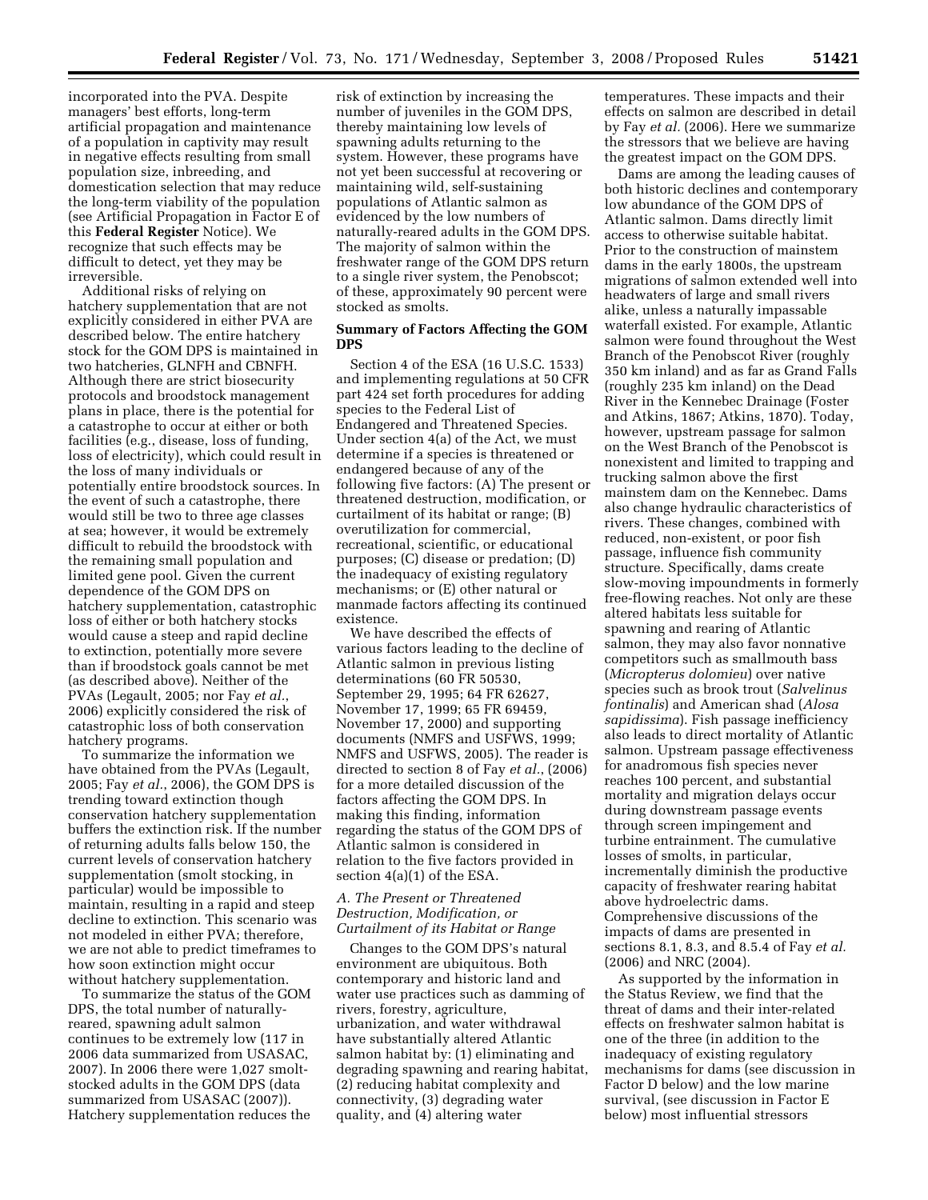incorporated into the PVA. Despite managers' best efforts, long-term artificial propagation and maintenance of a population in captivity may result in negative effects resulting from small population size, inbreeding, and domestication selection that may reduce the long-term viability of the population (see Artificial Propagation in Factor E of this **Federal Register** Notice). We recognize that such effects may be difficult to detect, yet they may be irreversible.

Additional risks of relying on hatchery supplementation that are not explicitly considered in either PVA are described below. The entire hatchery stock for the GOM DPS is maintained in two hatcheries, GLNFH and CBNFH. Although there are strict biosecurity protocols and broodstock management plans in place, there is the potential for a catastrophe to occur at either or both facilities (e.g., disease, loss of funding, loss of electricity), which could result in the loss of many individuals or potentially entire broodstock sources. In the event of such a catastrophe, there would still be two to three age classes at sea; however, it would be extremely difficult to rebuild the broodstock with the remaining small population and limited gene pool. Given the current dependence of the GOM DPS on hatchery supplementation, catastrophic loss of either or both hatchery stocks would cause a steep and rapid decline to extinction, potentially more severe than if broodstock goals cannot be met (as described above). Neither of the PVAs (Legault, 2005; nor Fay *et al.*, 2006) explicitly considered the risk of catastrophic loss of both conservation hatchery programs.

To summarize the information we have obtained from the PVAs (Legault, 2005; Fay *et al.*, 2006), the GOM DPS is trending toward extinction though conservation hatchery supplementation buffers the extinction risk. If the number of returning adults falls below 150, the current levels of conservation hatchery supplementation (smolt stocking, in particular) would be impossible to maintain, resulting in a rapid and steep decline to extinction. This scenario was not modeled in either PVA; therefore, we are not able to predict timeframes to how soon extinction might occur without hatchery supplementation.

To summarize the status of the GOM DPS, the total number of naturallyreared, spawning adult salmon continues to be extremely low (117 in 2006 data summarized from USASAC, 2007). In 2006 there were 1,027 smoltstocked adults in the GOM DPS (data summarized from USASAC (2007)). Hatchery supplementation reduces the

risk of extinction by increasing the number of juveniles in the GOM DPS, thereby maintaining low levels of spawning adults returning to the system. However, these programs have not yet been successful at recovering or maintaining wild, self-sustaining populations of Atlantic salmon as evidenced by the low numbers of naturally-reared adults in the GOM DPS. The majority of salmon within the freshwater range of the GOM DPS return to a single river system, the Penobscot; of these, approximately 90 percent were stocked as smolts.

## **Summary of Factors Affecting the GOM DPS**

Section 4 of the ESA (16 U.S.C. 1533) and implementing regulations at 50 CFR part 424 set forth procedures for adding species to the Federal List of Endangered and Threatened Species. Under section 4(a) of the Act, we must determine if a species is threatened or endangered because of any of the following five factors: (A) The present or threatened destruction, modification, or curtailment of its habitat or range; (B) overutilization for commercial, recreational, scientific, or educational purposes; (C) disease or predation; (D) the inadequacy of existing regulatory mechanisms; or (E) other natural or manmade factors affecting its continued existence.

We have described the effects of various factors leading to the decline of Atlantic salmon in previous listing determinations (60 FR 50530, September 29, 1995; 64 FR 62627, November 17, 1999; 65 FR 69459, November 17, 2000) and supporting documents (NMFS and USFWS, 1999; NMFS and USFWS, 2005). The reader is directed to section 8 of Fay *et al.*, (2006) for a more detailed discussion of the factors affecting the GOM DPS. In making this finding, information regarding the status of the GOM DPS of Atlantic salmon is considered in relation to the five factors provided in section 4(a)(1) of the ESA.

# *A. The Present or Threatened Destruction, Modification, or Curtailment of its Habitat or Range*

Changes to the GOM DPS's natural environment are ubiquitous. Both contemporary and historic land and water use practices such as damming of rivers, forestry, agriculture, urbanization, and water withdrawal have substantially altered Atlantic salmon habitat by: (1) eliminating and degrading spawning and rearing habitat, (2) reducing habitat complexity and connectivity, (3) degrading water quality, and (4) altering water

temperatures. These impacts and their effects on salmon are described in detail by Fay *et al.* (2006). Here we summarize the stressors that we believe are having the greatest impact on the GOM DPS.

Dams are among the leading causes of both historic declines and contemporary low abundance of the GOM DPS of Atlantic salmon. Dams directly limit access to otherwise suitable habitat. Prior to the construction of mainstem dams in the early 1800s, the upstream migrations of salmon extended well into headwaters of large and small rivers alike, unless a naturally impassable waterfall existed. For example, Atlantic salmon were found throughout the West Branch of the Penobscot River (roughly 350 km inland) and as far as Grand Falls (roughly 235 km inland) on the Dead River in the Kennebec Drainage (Foster and Atkins, 1867; Atkins, 1870). Today, however, upstream passage for salmon on the West Branch of the Penobscot is nonexistent and limited to trapping and trucking salmon above the first mainstem dam on the Kennebec. Dams also change hydraulic characteristics of rivers. These changes, combined with reduced, non-existent, or poor fish passage, influence fish community structure. Specifically, dams create slow-moving impoundments in formerly free-flowing reaches. Not only are these altered habitats less suitable for spawning and rearing of Atlantic salmon, they may also favor nonnative competitors such as smallmouth bass (*Micropterus dolomieu*) over native species such as brook trout (*Salvelinus fontinalis*) and American shad (*Alosa sapidissima*). Fish passage inefficiency also leads to direct mortality of Atlantic salmon. Upstream passage effectiveness for anadromous fish species never reaches 100 percent, and substantial mortality and migration delays occur during downstream passage events through screen impingement and turbine entrainment. The cumulative losses of smolts, in particular, incrementally diminish the productive capacity of freshwater rearing habitat above hydroelectric dams. Comprehensive discussions of the impacts of dams are presented in sections 8.1, 8.3, and 8.5.4 of Fay *et al.*  (2006) and NRC (2004).

As supported by the information in the Status Review, we find that the threat of dams and their inter-related effects on freshwater salmon habitat is one of the three (in addition to the inadequacy of existing regulatory mechanisms for dams (see discussion in Factor D below) and the low marine survival, (see discussion in Factor E below) most influential stressors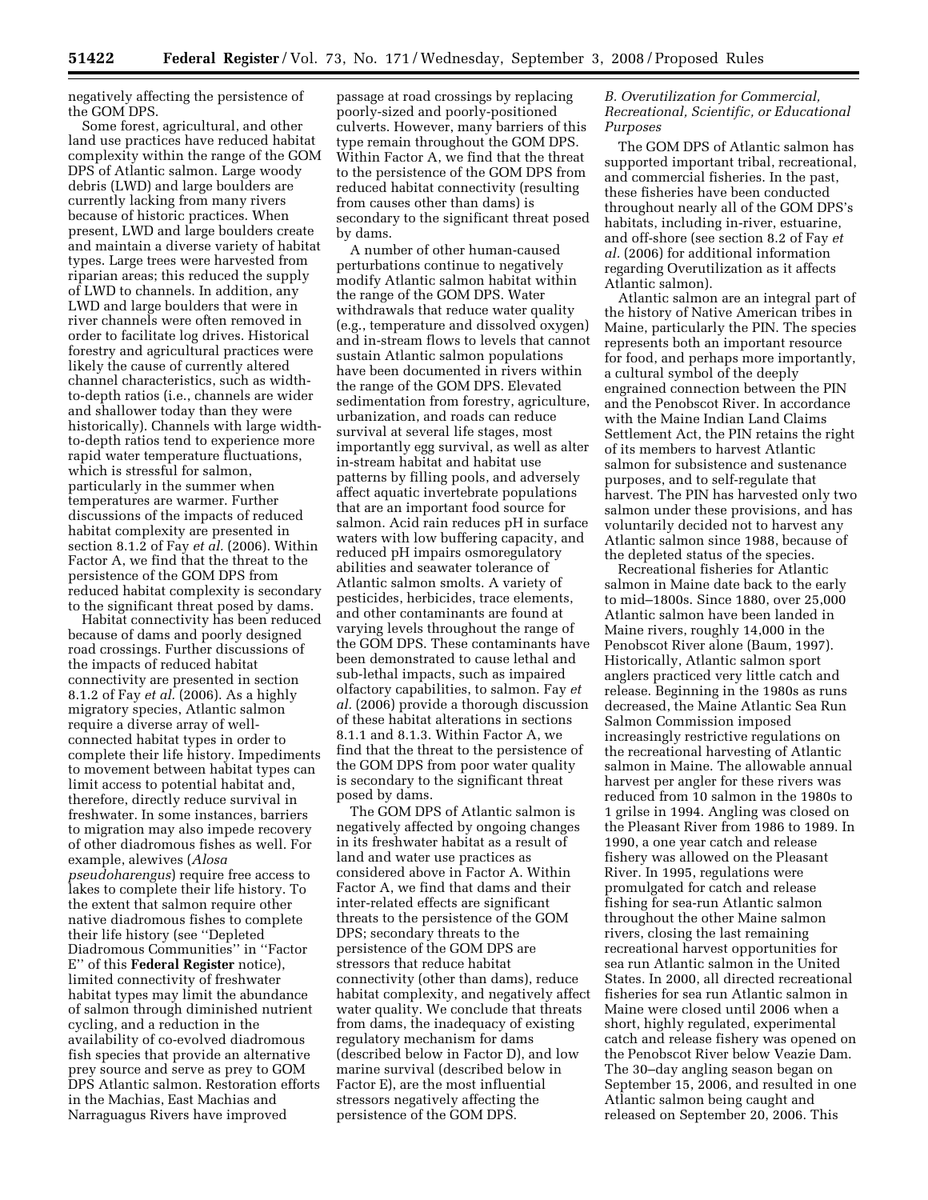negatively affecting the persistence of the GOM DPS.

Some forest, agricultural, and other land use practices have reduced habitat complexity within the range of the GOM DPS of Atlantic salmon. Large woody debris (LWD) and large boulders are currently lacking from many rivers because of historic practices. When present, LWD and large boulders create and maintain a diverse variety of habitat types. Large trees were harvested from riparian areas; this reduced the supply of LWD to channels. In addition, any LWD and large boulders that were in river channels were often removed in order to facilitate log drives. Historical forestry and agricultural practices were likely the cause of currently altered channel characteristics, such as widthto-depth ratios (i.e., channels are wider and shallower today than they were historically). Channels with large widthto-depth ratios tend to experience more rapid water temperature fluctuations, which is stressful for salmon, particularly in the summer when temperatures are warmer. Further discussions of the impacts of reduced habitat complexity are presented in section 8.1.2 of Fay *et al.* (2006). Within Factor A, we find that the threat to the persistence of the GOM DPS from reduced habitat complexity is secondary to the significant threat posed by dams.

Habitat connectivity has been reduced because of dams and poorly designed road crossings. Further discussions of the impacts of reduced habitat connectivity are presented in section 8.1.2 of Fay *et al.* (2006). As a highly migratory species, Atlantic salmon require a diverse array of wellconnected habitat types in order to complete their life history. Impediments to movement between habitat types can limit access to potential habitat and, therefore, directly reduce survival in freshwater. In some instances, barriers to migration may also impede recovery of other diadromous fishes as well. For example, alewives (*Alosa pseudoharengus*) require free access to lakes to complete their life history. To the extent that salmon require other native diadromous fishes to complete their life history (see ''Depleted Diadromous Communities'' in ''Factor E'' of this **Federal Register** notice), limited connectivity of freshwater habitat types may limit the abundance of salmon through diminished nutrient cycling, and a reduction in the availability of co-evolved diadromous fish species that provide an alternative prey source and serve as prey to GOM DPS Atlantic salmon. Restoration efforts in the Machias, East Machias and Narraguagus Rivers have improved

passage at road crossings by replacing poorly-sized and poorly-positioned culverts. However, many barriers of this type remain throughout the GOM DPS. Within Factor A, we find that the threat to the persistence of the GOM DPS from reduced habitat connectivity (resulting from causes other than dams) is secondary to the significant threat posed by dams.

A number of other human-caused perturbations continue to negatively modify Atlantic salmon habitat within the range of the GOM DPS. Water withdrawals that reduce water quality (e.g., temperature and dissolved oxygen) and in-stream flows to levels that cannot sustain Atlantic salmon populations have been documented in rivers within the range of the GOM DPS. Elevated sedimentation from forestry, agriculture, urbanization, and roads can reduce survival at several life stages, most importantly egg survival, as well as alter in-stream habitat and habitat use patterns by filling pools, and adversely affect aquatic invertebrate populations that are an important food source for salmon. Acid rain reduces pH in surface waters with low buffering capacity, and reduced pH impairs osmoregulatory abilities and seawater tolerance of Atlantic salmon smolts. A variety of pesticides, herbicides, trace elements, and other contaminants are found at varying levels throughout the range of the GOM DPS. These contaminants have been demonstrated to cause lethal and sub-lethal impacts, such as impaired olfactory capabilities, to salmon. Fay *et al.* (2006) provide a thorough discussion of these habitat alterations in sections 8.1.1 and 8.1.3. Within Factor A, we find that the threat to the persistence of the GOM DPS from poor water quality is secondary to the significant threat posed by dams.

The GOM DPS of Atlantic salmon is negatively affected by ongoing changes in its freshwater habitat as a result of land and water use practices as considered above in Factor A. Within Factor A, we find that dams and their inter-related effects are significant threats to the persistence of the GOM DPS; secondary threats to the persistence of the GOM DPS are stressors that reduce habitat connectivity (other than dams), reduce habitat complexity, and negatively affect water quality. We conclude that threats from dams, the inadequacy of existing regulatory mechanism for dams (described below in Factor D), and low marine survival (described below in Factor E), are the most influential stressors negatively affecting the persistence of the GOM DPS.

# *B. Overutilization for Commercial, Recreational, Scientific, or Educational Purposes*

The GOM DPS of Atlantic salmon has supported important tribal, recreational, and commercial fisheries. In the past, these fisheries have been conducted throughout nearly all of the GOM DPS's habitats, including in-river, estuarine, and off-shore (see section 8.2 of Fay *et al.* (2006) for additional information regarding Overutilization as it affects Atlantic salmon).

Atlantic salmon are an integral part of the history of Native American tribes in Maine, particularly the PIN. The species represents both an important resource for food, and perhaps more importantly, a cultural symbol of the deeply engrained connection between the PIN and the Penobscot River. In accordance with the Maine Indian Land Claims Settlement Act, the PIN retains the right of its members to harvest Atlantic salmon for subsistence and sustenance purposes, and to self-regulate that harvest. The PIN has harvested only two salmon under these provisions, and has voluntarily decided not to harvest any Atlantic salmon since 1988, because of the depleted status of the species.

Recreational fisheries for Atlantic salmon in Maine date back to the early to mid–1800s. Since 1880, over 25,000 Atlantic salmon have been landed in Maine rivers, roughly 14,000 in the Penobscot River alone (Baum, 1997). Historically, Atlantic salmon sport anglers practiced very little catch and release. Beginning in the 1980s as runs decreased, the Maine Atlantic Sea Run Salmon Commission imposed increasingly restrictive regulations on the recreational harvesting of Atlantic salmon in Maine. The allowable annual harvest per angler for these rivers was reduced from 10 salmon in the 1980s to 1 grilse in 1994. Angling was closed on the Pleasant River from 1986 to 1989. In 1990, a one year catch and release fishery was allowed on the Pleasant River. In 1995, regulations were promulgated for catch and release fishing for sea-run Atlantic salmon throughout the other Maine salmon rivers, closing the last remaining recreational harvest opportunities for sea run Atlantic salmon in the United States. In 2000, all directed recreational fisheries for sea run Atlantic salmon in Maine were closed until 2006 when a short, highly regulated, experimental catch and release fishery was opened on the Penobscot River below Veazie Dam. The 30–day angling season began on September 15, 2006, and resulted in one Atlantic salmon being caught and released on September 20, 2006. This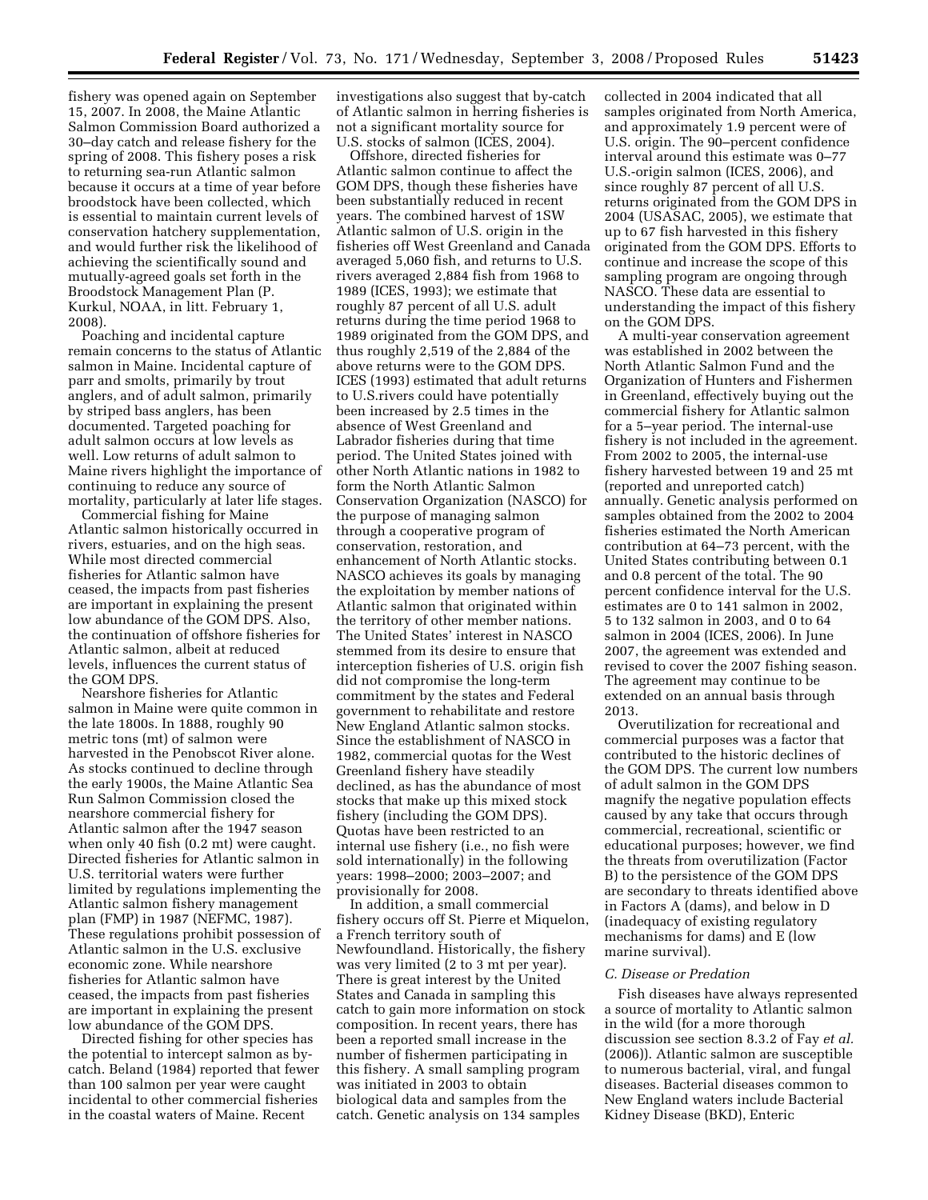fishery was opened again on September 15, 2007. In 2008, the Maine Atlantic Salmon Commission Board authorized a 30–day catch and release fishery for the spring of 2008. This fishery poses a risk to returning sea-run Atlantic salmon because it occurs at a time of year before broodstock have been collected, which is essential to maintain current levels of conservation hatchery supplementation, and would further risk the likelihood of achieving the scientifically sound and mutually-agreed goals set forth in the Broodstock Management Plan (P. Kurkul, NOAA, in litt. February 1, 2008).

Poaching and incidental capture remain concerns to the status of Atlantic salmon in Maine. Incidental capture of parr and smolts, primarily by trout anglers, and of adult salmon, primarily by striped bass anglers, has been documented. Targeted poaching for adult salmon occurs at low levels as well. Low returns of adult salmon to Maine rivers highlight the importance of continuing to reduce any source of mortality, particularly at later life stages.

Commercial fishing for Maine Atlantic salmon historically occurred in rivers, estuaries, and on the high seas. While most directed commercial fisheries for Atlantic salmon have ceased, the impacts from past fisheries are important in explaining the present low abundance of the GOM DPS. Also, the continuation of offshore fisheries for Atlantic salmon, albeit at reduced levels, influences the current status of the GOM DPS.

Nearshore fisheries for Atlantic salmon in Maine were quite common in the late 1800s. In 1888, roughly 90 metric tons (mt) of salmon were harvested in the Penobscot River alone. As stocks continued to decline through the early 1900s, the Maine Atlantic Sea Run Salmon Commission closed the nearshore commercial fishery for Atlantic salmon after the 1947 season when only 40 fish (0.2 mt) were caught. Directed fisheries for Atlantic salmon in U.S. territorial waters were further limited by regulations implementing the Atlantic salmon fishery management plan (FMP) in 1987 (NEFMC, 1987). These regulations prohibit possession of Atlantic salmon in the U.S. exclusive economic zone. While nearshore fisheries for Atlantic salmon have ceased, the impacts from past fisheries are important in explaining the present low abundance of the GOM DPS.

Directed fishing for other species has the potential to intercept salmon as bycatch. Beland (1984) reported that fewer than 100 salmon per year were caught incidental to other commercial fisheries in the coastal waters of Maine. Recent

investigations also suggest that by-catch of Atlantic salmon in herring fisheries is not a significant mortality source for U.S. stocks of salmon (ICES, 2004).

Offshore, directed fisheries for Atlantic salmon continue to affect the GOM DPS, though these fisheries have been substantially reduced in recent years. The combined harvest of 1SW Atlantic salmon of U.S. origin in the fisheries off West Greenland and Canada averaged 5,060 fish, and returns to U.S. rivers averaged 2,884 fish from 1968 to 1989 (ICES, 1993); we estimate that roughly 87 percent of all U.S. adult returns during the time period 1968 to 1989 originated from the GOM DPS, and thus roughly 2,519 of the 2,884 of the above returns were to the GOM DPS. ICES (1993) estimated that adult returns to U.S.rivers could have potentially been increased by 2.5 times in the absence of West Greenland and Labrador fisheries during that time period. The United States joined with other North Atlantic nations in 1982 to form the North Atlantic Salmon Conservation Organization (NASCO) for the purpose of managing salmon through a cooperative program of conservation, restoration, and enhancement of North Atlantic stocks. NASCO achieves its goals by managing the exploitation by member nations of Atlantic salmon that originated within the territory of other member nations. The United States' interest in NASCO stemmed from its desire to ensure that interception fisheries of U.S. origin fish did not compromise the long-term commitment by the states and Federal government to rehabilitate and restore New England Atlantic salmon stocks. Since the establishment of NASCO in 1982, commercial quotas for the West Greenland fishery have steadily declined, as has the abundance of most stocks that make up this mixed stock fishery (including the GOM DPS). Quotas have been restricted to an internal use fishery (i.e., no fish were sold internationally) in the following years: 1998–2000; 2003–2007; and provisionally for 2008.

In addition, a small commercial fishery occurs off St. Pierre et Miquelon, a French territory south of Newfoundland. Historically, the fishery was very limited (2 to 3 mt per year). There is great interest by the United States and Canada in sampling this catch to gain more information on stock composition. In recent years, there has been a reported small increase in the number of fishermen participating in this fishery. A small sampling program was initiated in 2003 to obtain biological data and samples from the catch. Genetic analysis on 134 samples

collected in 2004 indicated that all samples originated from North America, and approximately 1.9 percent were of U.S. origin. The 90–percent confidence interval around this estimate was 0–77 U.S.-origin salmon (ICES, 2006), and since roughly 87 percent of all U.S. returns originated from the GOM DPS in 2004 (USASAC, 2005), we estimate that up to 67 fish harvested in this fishery originated from the GOM DPS. Efforts to continue and increase the scope of this sampling program are ongoing through NASCO. These data are essential to understanding the impact of this fishery on the GOM DPS.

A multi-year conservation agreement was established in 2002 between the North Atlantic Salmon Fund and the Organization of Hunters and Fishermen in Greenland, effectively buying out the commercial fishery for Atlantic salmon for a 5–year period. The internal-use fishery is not included in the agreement. From 2002 to 2005, the internal-use fishery harvested between 19 and 25 mt (reported and unreported catch) annually. Genetic analysis performed on samples obtained from the 2002 to 2004 fisheries estimated the North American contribution at 64–73 percent, with the United States contributing between 0.1 and 0.8 percent of the total. The 90 percent confidence interval for the U.S. estimates are 0 to 141 salmon in 2002, 5 to 132 salmon in 2003, and 0 to 64 salmon in 2004 (ICES, 2006). In June 2007, the agreement was extended and revised to cover the 2007 fishing season. The agreement may continue to be extended on an annual basis through 2013.

Overutilization for recreational and commercial purposes was a factor that contributed to the historic declines of the GOM DPS. The current low numbers of adult salmon in the GOM DPS magnify the negative population effects caused by any take that occurs through commercial, recreational, scientific or educational purposes; however, we find the threats from overutilization (Factor B) to the persistence of the GOM DPS are secondary to threats identified above in Factors A (dams), and below in D (inadequacy of existing regulatory mechanisms for dams) and E (low marine survival).

## *C. Disease or Predation*

Fish diseases have always represented a source of mortality to Atlantic salmon in the wild (for a more thorough discussion see section 8.3.2 of Fay *et al.*  (2006)). Atlantic salmon are susceptible to numerous bacterial, viral, and fungal diseases. Bacterial diseases common to New England waters include Bacterial Kidney Disease (BKD), Enteric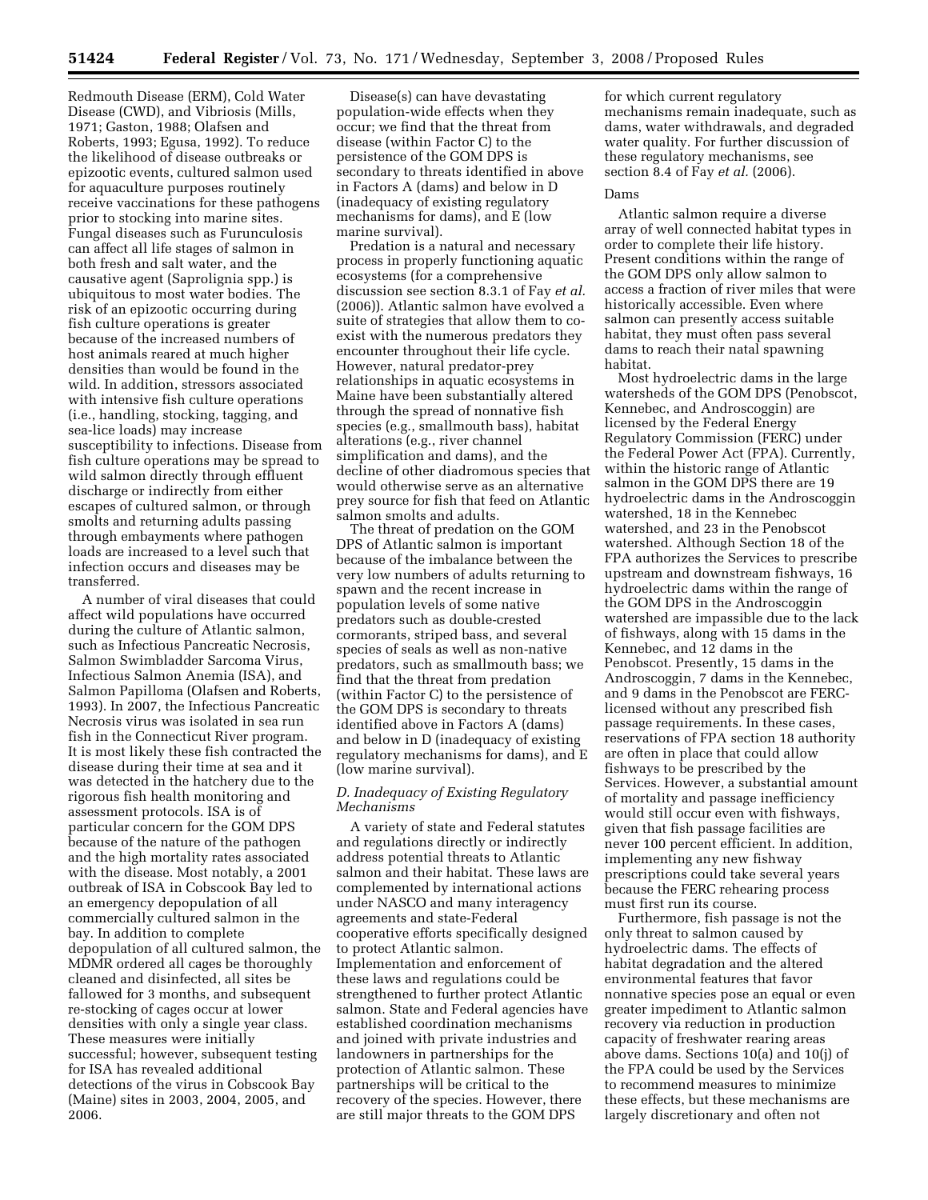Redmouth Disease (ERM), Cold Water Disease (CWD), and Vibriosis (Mills, 1971; Gaston, 1988; Olafsen and Roberts, 1993; Egusa, 1992). To reduce the likelihood of disease outbreaks or epizootic events, cultured salmon used for aquaculture purposes routinely receive vaccinations for these pathogens prior to stocking into marine sites. Fungal diseases such as Furunculosis can affect all life stages of salmon in both fresh and salt water, and the causative agent (Saprolignia spp.) is ubiquitous to most water bodies. The risk of an epizootic occurring during fish culture operations is greater because of the increased numbers of host animals reared at much higher densities than would be found in the wild. In addition, stressors associated with intensive fish culture operations (i.e., handling, stocking, tagging, and sea-lice loads) may increase susceptibility to infections. Disease from fish culture operations may be spread to wild salmon directly through effluent discharge or indirectly from either escapes of cultured salmon, or through smolts and returning adults passing through embayments where pathogen loads are increased to a level such that infection occurs and diseases may be transferred.

A number of viral diseases that could affect wild populations have occurred during the culture of Atlantic salmon, such as Infectious Pancreatic Necrosis, Salmon Swimbladder Sarcoma Virus, Infectious Salmon Anemia (ISA), and Salmon Papilloma (Olafsen and Roberts, 1993). In 2007, the Infectious Pancreatic Necrosis virus was isolated in sea run fish in the Connecticut River program. It is most likely these fish contracted the disease during their time at sea and it was detected in the hatchery due to the rigorous fish health monitoring and assessment protocols. ISA is of particular concern for the GOM DPS because of the nature of the pathogen and the high mortality rates associated with the disease. Most notably, a 2001 outbreak of ISA in Cobscook Bay led to an emergency depopulation of all commercially cultured salmon in the bay. In addition to complete depopulation of all cultured salmon, the MDMR ordered all cages be thoroughly cleaned and disinfected, all sites be fallowed for 3 months, and subsequent re-stocking of cages occur at lower densities with only a single year class. These measures were initially successful; however, subsequent testing for ISA has revealed additional detections of the virus in Cobscook Bay (Maine) sites in 2003, 2004, 2005, and 2006.

Disease(s) can have devastating population-wide effects when they occur; we find that the threat from disease (within Factor C) to the persistence of the GOM DPS is secondary to threats identified in above in Factors A (dams) and below in D (inadequacy of existing regulatory mechanisms for dams), and E (low marine survival).

Predation is a natural and necessary process in properly functioning aquatic ecosystems (for a comprehensive discussion see section 8.3.1 of Fay *et al.*  (2006)). Atlantic salmon have evolved a suite of strategies that allow them to coexist with the numerous predators they encounter throughout their life cycle. However, natural predator-prey relationships in aquatic ecosystems in Maine have been substantially altered through the spread of nonnative fish species (e.g., smallmouth bass), habitat alterations (e.g., river channel simplification and dams), and the decline of other diadromous species that would otherwise serve as an alternative prey source for fish that feed on Atlantic salmon smolts and adults.

The threat of predation on the GOM DPS of Atlantic salmon is important because of the imbalance between the very low numbers of adults returning to spawn and the recent increase in population levels of some native predators such as double-crested cormorants, striped bass, and several species of seals as well as non-native predators, such as smallmouth bass; we find that the threat from predation (within Factor C) to the persistence of the GOM DPS is secondary to threats identified above in Factors A (dams) and below in D (inadequacy of existing regulatory mechanisms for dams), and E (low marine survival).

# *D. Inadequacy of Existing Regulatory Mechanisms*

A variety of state and Federal statutes and regulations directly or indirectly address potential threats to Atlantic salmon and their habitat. These laws are complemented by international actions under NASCO and many interagency agreements and state-Federal cooperative efforts specifically designed to protect Atlantic salmon. Implementation and enforcement of these laws and regulations could be strengthened to further protect Atlantic salmon. State and Federal agencies have established coordination mechanisms and joined with private industries and landowners in partnerships for the protection of Atlantic salmon. These partnerships will be critical to the recovery of the species. However, there are still major threats to the GOM DPS

for which current regulatory mechanisms remain inadequate, such as dams, water withdrawals, and degraded water quality. For further discussion of these regulatory mechanisms, see section 8.4 of Fay *et al.* (2006).

#### Dams

Atlantic salmon require a diverse array of well connected habitat types in order to complete their life history. Present conditions within the range of the GOM DPS only allow salmon to access a fraction of river miles that were historically accessible. Even where salmon can presently access suitable habitat, they must often pass several dams to reach their natal spawning habitat.

Most hydroelectric dams in the large watersheds of the GOM DPS (Penobscot, Kennebec, and Androscoggin) are licensed by the Federal Energy Regulatory Commission (FERC) under the Federal Power Act (FPA). Currently, within the historic range of Atlantic salmon in the GOM DPS there are 19 hydroelectric dams in the Androscoggin watershed, 18 in the Kennebec watershed, and 23 in the Penobscot watershed. Although Section 18 of the FPA authorizes the Services to prescribe upstream and downstream fishways, 16 hydroelectric dams within the range of the GOM DPS in the Androscoggin watershed are impassible due to the lack of fishways, along with 15 dams in the Kennebec, and 12 dams in the Penobscot. Presently, 15 dams in the Androscoggin, 7 dams in the Kennebec, and 9 dams in the Penobscot are FERClicensed without any prescribed fish passage requirements. In these cases, reservations of FPA section 18 authority are often in place that could allow fishways to be prescribed by the Services. However, a substantial amount of mortality and passage inefficiency would still occur even with fishways, given that fish passage facilities are never 100 percent efficient. In addition, implementing any new fishway prescriptions could take several years because the FERC rehearing process must first run its course.

Furthermore, fish passage is not the only threat to salmon caused by hydroelectric dams. The effects of habitat degradation and the altered environmental features that favor nonnative species pose an equal or even greater impediment to Atlantic salmon recovery via reduction in production capacity of freshwater rearing areas above dams. Sections 10(a) and 10(j) of the FPA could be used by the Services to recommend measures to minimize these effects, but these mechanisms are largely discretionary and often not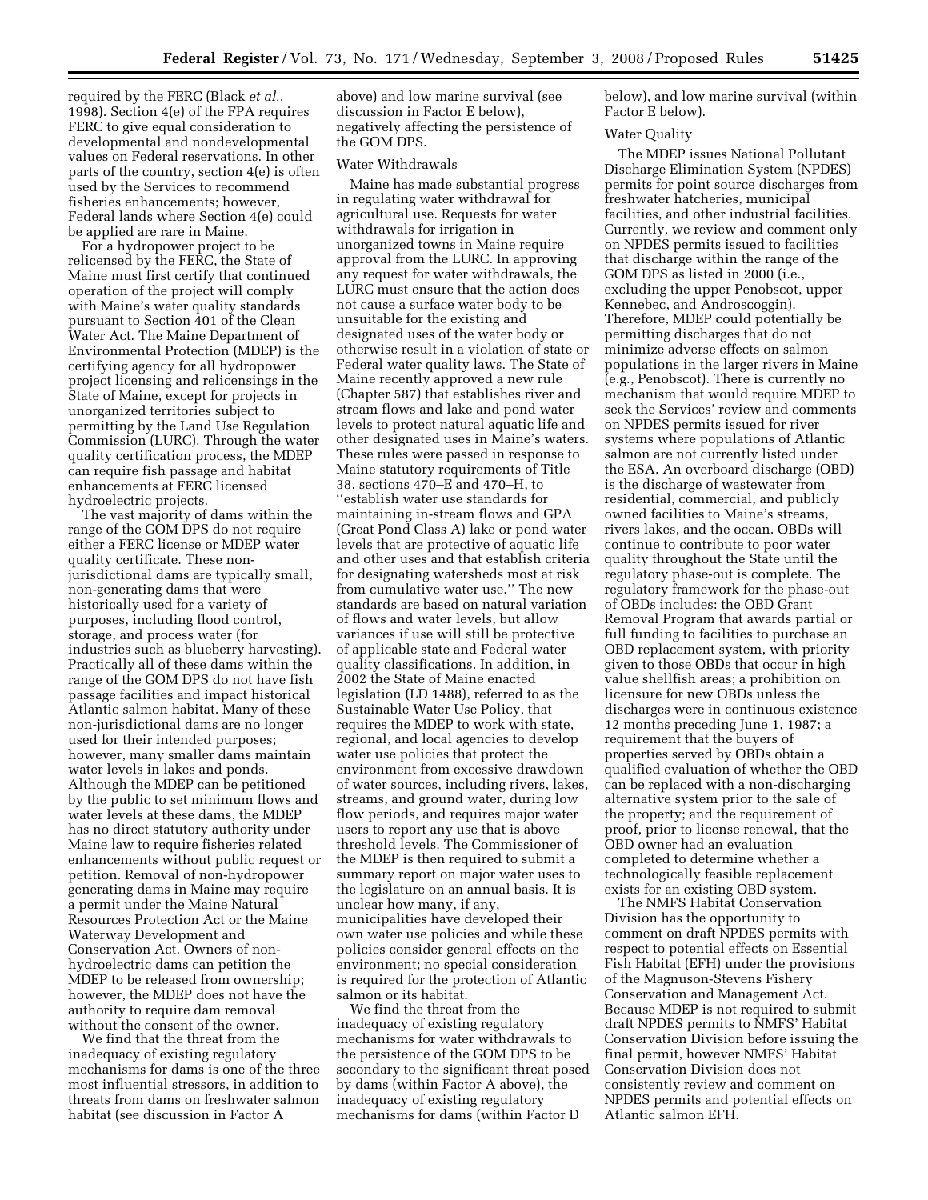required by the FERC (Black *et al.*, 1998). Section 4(e) of the FPA requires FERC to give equal consideration to developmental and nondevelopmental values on Federal reservations. In other parts of the country, section 4(e) is often used by the Services to recommend fisheries enhancements; however, Federal lands where Section 4(e) could be applied are rare in Maine.

For a hydropower project to be relicensed by the FERC, the State of Maine must first certify that continued operation of the project will comply with Maine's water quality standards pursuant to Section 401 of the Clean Water Act. The Maine Department of Environmental Protection (MDEP) is the certifying agency for all hydropower project licensing and relicensings in the State of Maine, except for projects in unorganized territories subject to permitting by the Land Use Regulation Commission (LURC). Through the water quality certification process, the MDEP can require fish passage and habitat enhancements at FERC licensed hydroelectric projects.

The vast majority of dams within the range of the GOM DPS do not require either a FERC license or MDEP water quality certificate. These nonjurisdictional dams are typically small, non-generating dams that were historically used for a variety of purposes, including flood control, storage, and process water (for industries such as blueberry harvesting). Practically all of these dams within the range of the GOM DPS do not have fish passage facilities and impact historical Atlantic salmon habitat. Many of these non-jurisdictional dams are no longer used for their intended purposes; however, many smaller dams maintain water levels in lakes and ponds. Although the MDEP can be petitioned by the public to set minimum flows and water levels at these dams, the MDEP has no direct statutory authority under Maine law to require fisheries related enhancements without public request or petition. Removal of non-hydropower generating dams in Maine may require a permit under the Maine Natural Resources Protection Act or the Maine Waterway Development and Conservation Act. Owners of nonhydroelectric dams can petition the MDEP to be released from ownership; however, the MDEP does not have the authority to require dam removal without the consent of the owner.

We find that the threat from the inadequacy of existing regulatory mechanisms for dams is one of the three most influential stressors, in addition to threats from dams on freshwater salmon habitat (see discussion in Factor A

above) and low marine survival (see discussion in Factor E below), negatively affecting the persistence of the GOM DPS.

# Water Withdrawals

Maine has made substantial progress in regulating water withdrawal for agricultural use. Requests for water withdrawals for irrigation in unorganized towns in Maine require approval from the LURC. In approving any request for water withdrawals, the LURC must ensure that the action does not cause a surface water body to be unsuitable for the existing and designated uses of the water body or otherwise result in a violation of state or Federal water quality laws. The State of Maine recently approved a new rule (Chapter 587) that establishes river and stream flows and lake and pond water levels to protect natural aquatic life and other designated uses in Maine's waters. These rules were passed in response to Maine statutory requirements of Title 38, sections 470–E and 470–H, to ''establish water use standards for maintaining in-stream flows and GPA (Great Pond Class A) lake or pond water levels that are protective of aquatic life and other uses and that establish criteria for designating watersheds most at risk from cumulative water use.'' The new standards are based on natural variation of flows and water levels, but allow variances if use will still be protective of applicable state and Federal water quality classifications. In addition, in 2002 the State of Maine enacted legislation (LD 1488), referred to as the Sustainable Water Use Policy, that requires the MDEP to work with state, regional, and local agencies to develop water use policies that protect the environment from excessive drawdown of water sources, including rivers, lakes, streams, and ground water, during low flow periods, and requires major water users to report any use that is above threshold levels. The Commissioner of the MDEP is then required to submit a summary report on major water uses to the legislature on an annual basis. It is unclear how many, if any, municipalities have developed their own water use policies and while these policies consider general effects on the environment; no special consideration is required for the protection of Atlantic salmon or its habitat.

We find the threat from the inadequacy of existing regulatory mechanisms for water withdrawals to the persistence of the GOM DPS to be secondary to the significant threat posed by dams (within Factor A above), the inadequacy of existing regulatory mechanisms for dams (within Factor D

below), and low marine survival (within Factor E below).

#### Water Quality

The MDEP issues National Pollutant Discharge Elimination System (NPDES) permits for point source discharges from freshwater hatcheries, municipal facilities, and other industrial facilities. Currently, we review and comment only on NPDES permits issued to facilities that discharge within the range of the GOM DPS as listed in 2000 (i.e., excluding the upper Penobscot, upper Kennebec, and Androscoggin). Therefore, MDEP could potentially be permitting discharges that do not minimize adverse effects on salmon populations in the larger rivers in Maine (e.g., Penobscot). There is currently no mechanism that would require MDEP to seek the Services' review and comments on NPDES permits issued for river systems where populations of Atlantic salmon are not currently listed under the ESA. An overboard discharge (OBD) is the discharge of wastewater from residential, commercial, and publicly owned facilities to Maine's streams, rivers lakes, and the ocean. OBDs will continue to contribute to poor water quality throughout the State until the regulatory phase-out is complete. The regulatory framework for the phase-out of OBDs includes: the OBD Grant Removal Program that awards partial or full funding to facilities to purchase an OBD replacement system, with priority given to those OBDs that occur in high value shellfish areas; a prohibition on licensure for new OBDs unless the discharges were in continuous existence 12 months preceding June 1, 1987; a requirement that the buyers of properties served by OBDs obtain a qualified evaluation of whether the OBD can be replaced with a non-discharging alternative system prior to the sale of the property; and the requirement of proof, prior to license renewal, that the OBD owner had an evaluation completed to determine whether a technologically feasible replacement exists for an existing OBD system.

The NMFS Habitat Conservation Division has the opportunity to comment on draft NPDES permits with respect to potential effects on Essential Fish Habitat (EFH) under the provisions of the Magnuson-Stevens Fishery Conservation and Management Act. Because MDEP is not required to submit draft NPDES permits to NMFS' Habitat Conservation Division before issuing the final permit, however NMFS' Habitat Conservation Division does not consistently review and comment on NPDES permits and potential effects on Atlantic salmon EFH.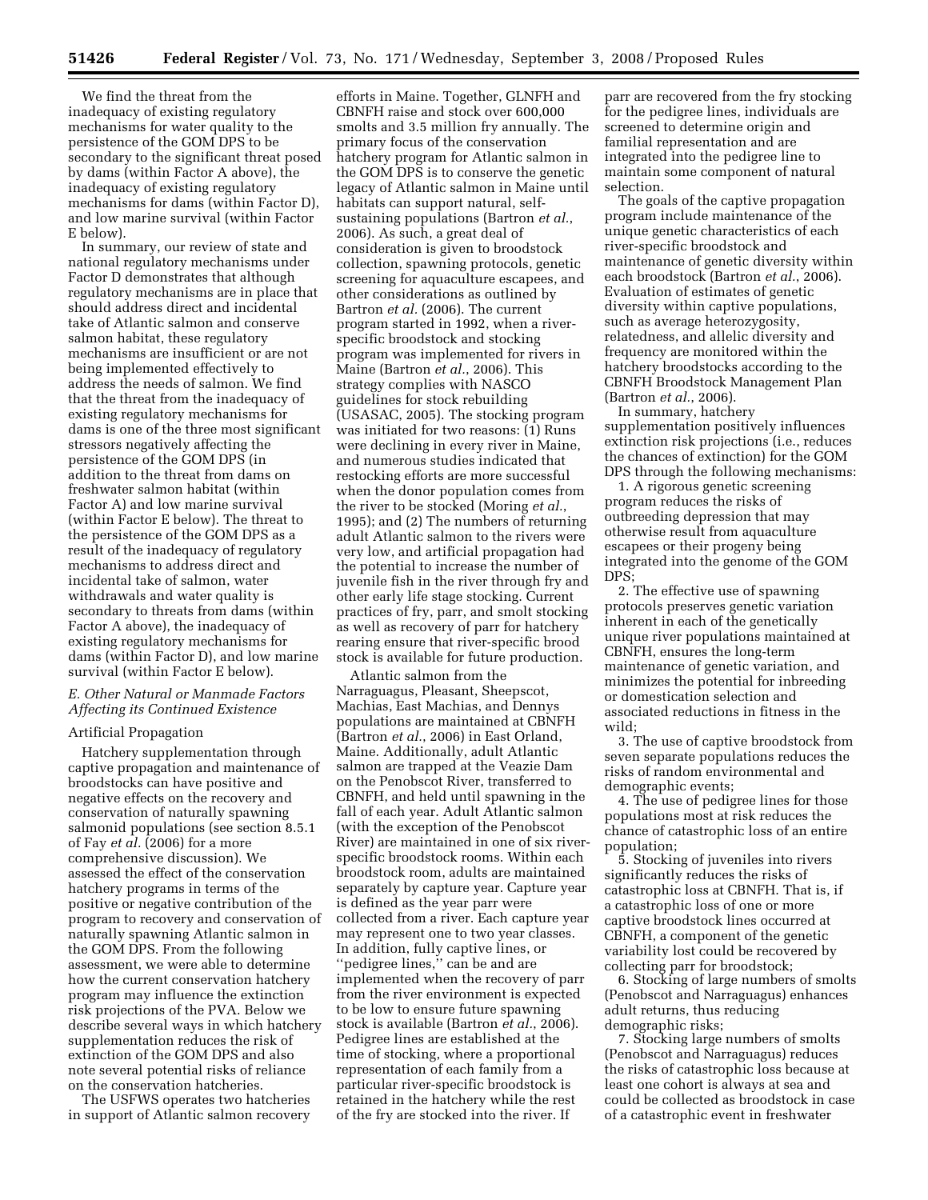We find the threat from the inadequacy of existing regulatory mechanisms for water quality to the persistence of the GOM DPS to be secondary to the significant threat posed by dams (within Factor A above), the inadequacy of existing regulatory mechanisms for dams (within Factor D), and low marine survival (within Factor E below).

In summary, our review of state and national regulatory mechanisms under Factor D demonstrates that although regulatory mechanisms are in place that should address direct and incidental take of Atlantic salmon and conserve salmon habitat, these regulatory mechanisms are insufficient or are not being implemented effectively to address the needs of salmon. We find that the threat from the inadequacy of existing regulatory mechanisms for dams is one of the three most significant stressors negatively affecting the persistence of the GOM DPS (in addition to the threat from dams on freshwater salmon habitat (within Factor A) and low marine survival (within Factor E below). The threat to the persistence of the GOM DPS as a result of the inadequacy of regulatory mechanisms to address direct and incidental take of salmon, water withdrawals and water quality is secondary to threats from dams (within Factor A above), the inadequacy of existing regulatory mechanisms for dams (within Factor D), and low marine survival (within Factor E below).

## *E. Other Natural or Manmade Factors Affecting its Continued Existence*

## Artificial Propagation

Hatchery supplementation through captive propagation and maintenance of broodstocks can have positive and negative effects on the recovery and conservation of naturally spawning salmonid populations (see section 8.5.1 of Fay *et al.* (2006) for a more comprehensive discussion). We assessed the effect of the conservation hatchery programs in terms of the positive or negative contribution of the program to recovery and conservation of naturally spawning Atlantic salmon in the GOM DPS. From the following assessment, we were able to determine how the current conservation hatchery program may influence the extinction risk projections of the PVA. Below we describe several ways in which hatchery supplementation reduces the risk of extinction of the GOM DPS and also note several potential risks of reliance on the conservation hatcheries.

The USFWS operates two hatcheries in support of Atlantic salmon recovery

efforts in Maine. Together, GLNFH and CBNFH raise and stock over 600,000 smolts and 3.5 million fry annually. The primary focus of the conservation hatchery program for Atlantic salmon in the GOM DPS is to conserve the genetic legacy of Atlantic salmon in Maine until habitats can support natural, selfsustaining populations (Bartron *et al.*, 2006). As such, a great deal of consideration is given to broodstock collection, spawning protocols, genetic screening for aquaculture escapees, and other considerations as outlined by Bartron *et al.* (2006). The current program started in 1992, when a riverspecific broodstock and stocking program was implemented for rivers in Maine (Bartron *et al.*, 2006). This strategy complies with NASCO guidelines for stock rebuilding (USASAC, 2005). The stocking program was initiated for two reasons: (1) Runs were declining in every river in Maine, and numerous studies indicated that restocking efforts are more successful when the donor population comes from the river to be stocked (Moring *et al.*, 1995); and (2) The numbers of returning adult Atlantic salmon to the rivers were very low, and artificial propagation had the potential to increase the number of juvenile fish in the river through fry and other early life stage stocking. Current practices of fry, parr, and smolt stocking as well as recovery of parr for hatchery rearing ensure that river-specific brood stock is available for future production.

Atlantic salmon from the Narraguagus, Pleasant, Sheepscot, Machias, East Machias, and Dennys populations are maintained at CBNFH (Bartron *et al.*, 2006) in East Orland, Maine. Additionally, adult Atlantic salmon are trapped at the Veazie Dam on the Penobscot River, transferred to CBNFH, and held until spawning in the fall of each year. Adult Atlantic salmon (with the exception of the Penobscot River) are maintained in one of six riverspecific broodstock rooms. Within each broodstock room, adults are maintained separately by capture year. Capture year is defined as the year parr were collected from a river. Each capture year may represent one to two year classes. In addition, fully captive lines, or ''pedigree lines,'' can be and are implemented when the recovery of parr from the river environment is expected to be low to ensure future spawning stock is available (Bartron *et al.*, 2006). Pedigree lines are established at the time of stocking, where a proportional representation of each family from a particular river-specific broodstock is retained in the hatchery while the rest of the fry are stocked into the river. If

parr are recovered from the fry stocking for the pedigree lines, individuals are screened to determine origin and familial representation and are integrated into the pedigree line to maintain some component of natural selection.

The goals of the captive propagation program include maintenance of the unique genetic characteristics of each river-specific broodstock and maintenance of genetic diversity within each broodstock (Bartron *et al.*, 2006). Evaluation of estimates of genetic diversity within captive populations, such as average heterozygosity, relatedness, and allelic diversity and frequency are monitored within the hatchery broodstocks according to the CBNFH Broodstock Management Plan (Bartron *et al.*, 2006).

In summary, hatchery supplementation positively influences extinction risk projections (i.e., reduces the chances of extinction) for the GOM DPS through the following mechanisms:

1. A rigorous genetic screening program reduces the risks of outbreeding depression that may otherwise result from aquaculture escapees or their progeny being integrated into the genome of the GOM DPS;

2. The effective use of spawning protocols preserves genetic variation inherent in each of the genetically unique river populations maintained at CBNFH, ensures the long-term maintenance of genetic variation, and minimizes the potential for inbreeding or domestication selection and associated reductions in fitness in the wild;

3. The use of captive broodstock from seven separate populations reduces the risks of random environmental and demographic events;

4. The use of pedigree lines for those populations most at risk reduces the chance of catastrophic loss of an entire population;

5. Stocking of juveniles into rivers significantly reduces the risks of catastrophic loss at CBNFH. That is, if a catastrophic loss of one or more captive broodstock lines occurred at CBNFH, a component of the genetic variability lost could be recovered by collecting parr for broodstock;

6. Stocking of large numbers of smolts (Penobscot and Narraguagus) enhances adult returns, thus reducing demographic risks;

7. Stocking large numbers of smolts (Penobscot and Narraguagus) reduces the risks of catastrophic loss because at least one cohort is always at sea and could be collected as broodstock in case of a catastrophic event in freshwater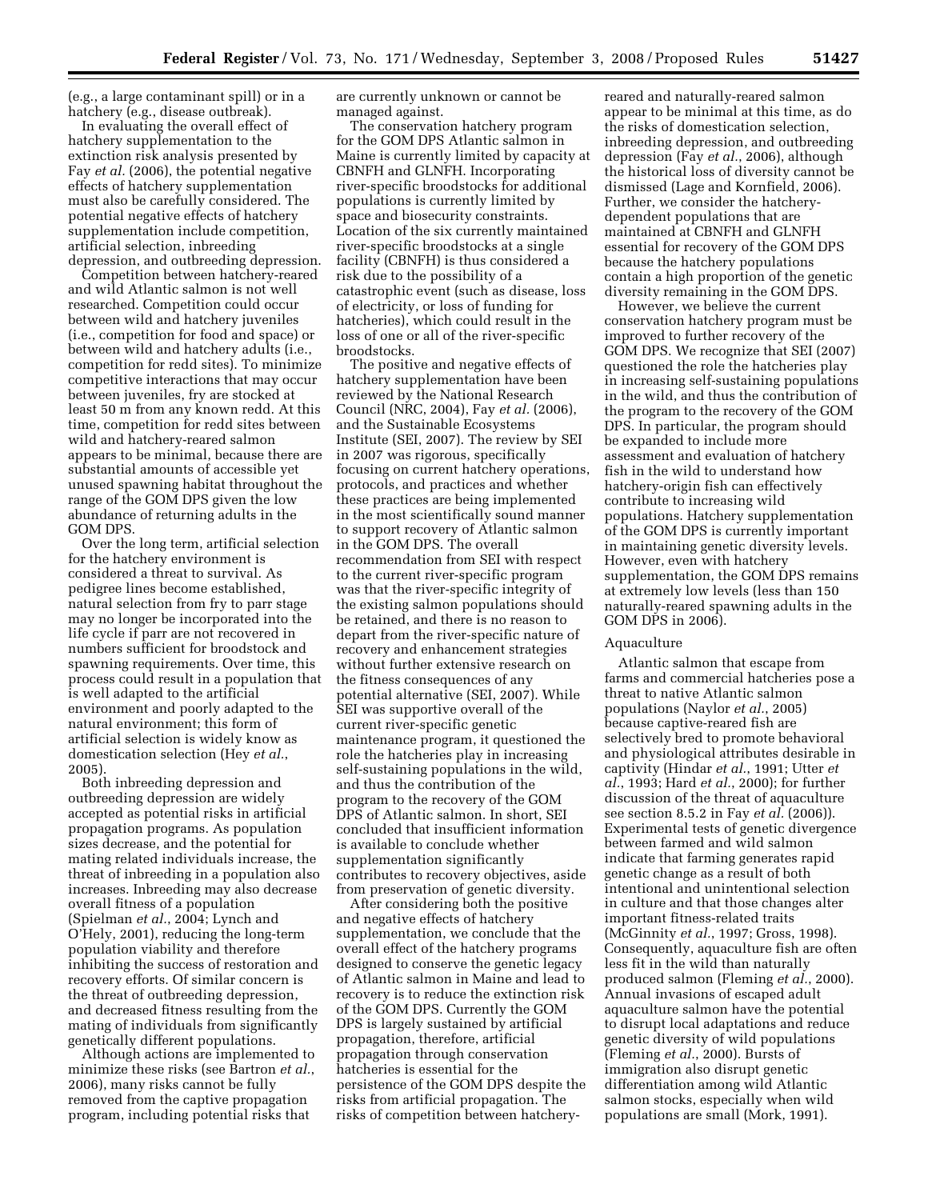(e.g., a large contaminant spill) or in a hatchery (e.g., disease outbreak).

In evaluating the overall effect of hatchery supplementation to the extinction risk analysis presented by Fay *et al.* (2006), the potential negative effects of hatchery supplementation must also be carefully considered. The potential negative effects of hatchery supplementation include competition, artificial selection, inbreeding depression, and outbreeding depression.

Competition between hatchery-reared and wild Atlantic salmon is not well researched. Competition could occur between wild and hatchery juveniles (i.e., competition for food and space) or between wild and hatchery adults (i.e., competition for redd sites). To minimize competitive interactions that may occur between juveniles, fry are stocked at least 50 m from any known redd. At this time, competition for redd sites between wild and hatchery-reared salmon appears to be minimal, because there are substantial amounts of accessible yet unused spawning habitat throughout the range of the GOM DPS given the low abundance of returning adults in the GOM DPS.

Over the long term, artificial selection for the hatchery environment is considered a threat to survival. As pedigree lines become established, natural selection from fry to parr stage may no longer be incorporated into the life cycle if parr are not recovered in numbers sufficient for broodstock and spawning requirements. Over time, this process could result in a population that is well adapted to the artificial environment and poorly adapted to the natural environment; this form of artificial selection is widely know as domestication selection (Hey *et al.*, 2005).

Both inbreeding depression and outbreeding depression are widely accepted as potential risks in artificial propagation programs. As population sizes decrease, and the potential for mating related individuals increase, the threat of inbreeding in a population also increases. Inbreeding may also decrease overall fitness of a population (Spielman *et al.*, 2004; Lynch and O'Hely, 2001), reducing the long-term population viability and therefore inhibiting the success of restoration and recovery efforts. Of similar concern is the threat of outbreeding depression, and decreased fitness resulting from the mating of individuals from significantly genetically different populations.

Although actions are implemented to minimize these risks (see Bartron *et al.*, 2006), many risks cannot be fully removed from the captive propagation program, including potential risks that

are currently unknown or cannot be managed against.

The conservation hatchery program for the GOM DPS Atlantic salmon in Maine is currently limited by capacity at CBNFH and GLNFH. Incorporating river-specific broodstocks for additional populations is currently limited by space and biosecurity constraints. Location of the six currently maintained river-specific broodstocks at a single facility (CBNFH) is thus considered a risk due to the possibility of a catastrophic event (such as disease, loss of electricity, or loss of funding for hatcheries), which could result in the loss of one or all of the river-specific broodstocks.

The positive and negative effects of hatchery supplementation have been reviewed by the National Research Council (NRC, 2004), Fay *et al.* (2006), and the Sustainable Ecosystems Institute (SEI, 2007). The review by SEI in 2007 was rigorous, specifically focusing on current hatchery operations, protocols, and practices and whether these practices are being implemented in the most scientifically sound manner to support recovery of Atlantic salmon in the GOM DPS. The overall recommendation from SEI with respect to the current river-specific program was that the river-specific integrity of the existing salmon populations should be retained, and there is no reason to depart from the river-specific nature of recovery and enhancement strategies without further extensive research on the fitness consequences of any potential alternative (SEI, 2007). While SEI was supportive overall of the current river-specific genetic maintenance program, it questioned the role the hatcheries play in increasing self-sustaining populations in the wild, and thus the contribution of the program to the recovery of the GOM DPS of Atlantic salmon. In short, SEI concluded that insufficient information is available to conclude whether supplementation significantly contributes to recovery objectives, aside from preservation of genetic diversity.

After considering both the positive and negative effects of hatchery supplementation, we conclude that the overall effect of the hatchery programs designed to conserve the genetic legacy of Atlantic salmon in Maine and lead to recovery is to reduce the extinction risk of the GOM DPS. Currently the GOM DPS is largely sustained by artificial propagation, therefore, artificial propagation through conservation hatcheries is essential for the persistence of the GOM DPS despite the risks from artificial propagation. The risks of competition between hatcheryreared and naturally-reared salmon appear to be minimal at this time, as do the risks of domestication selection, inbreeding depression, and outbreeding depression (Fay *et al.*, 2006), although the historical loss of diversity cannot be dismissed (Lage and Kornfield, 2006). Further, we consider the hatcherydependent populations that are maintained at CBNFH and GLNFH essential for recovery of the GOM DPS because the hatchery populations contain a high proportion of the genetic diversity remaining in the GOM DPS.

However, we believe the current conservation hatchery program must be improved to further recovery of the GOM DPS. We recognize that SEI (2007) questioned the role the hatcheries play in increasing self-sustaining populations in the wild, and thus the contribution of the program to the recovery of the GOM DPS. In particular, the program should be expanded to include more assessment and evaluation of hatchery fish in the wild to understand how hatchery-origin fish can effectively contribute to increasing wild populations. Hatchery supplementation of the GOM DPS is currently important in maintaining genetic diversity levels. However, even with hatchery supplementation, the GOM DPS remains at extremely low levels (less than 150 naturally-reared spawning adults in the GOM DPS in 2006).

#### Aquaculture

Atlantic salmon that escape from farms and commercial hatcheries pose a threat to native Atlantic salmon populations (Naylor *et al.*, 2005) because captive-reared fish are selectively bred to promote behavioral and physiological attributes desirable in captivity (Hindar *et al.*, 1991; Utter *et al.*, 1993; Hard *et al.*, 2000); for further discussion of the threat of aquaculture see section 8.5.2 in Fay *et al.* (2006)). Experimental tests of genetic divergence between farmed and wild salmon indicate that farming generates rapid genetic change as a result of both intentional and unintentional selection in culture and that those changes alter important fitness-related traits (McGinnity *et al.*, 1997; Gross, 1998). Consequently, aquaculture fish are often less fit in the wild than naturally produced salmon (Fleming *et al.*, 2000). Annual invasions of escaped adult aquaculture salmon have the potential to disrupt local adaptations and reduce genetic diversity of wild populations (Fleming *et al.*, 2000). Bursts of immigration also disrupt genetic differentiation among wild Atlantic salmon stocks, especially when wild populations are small (Mork, 1991).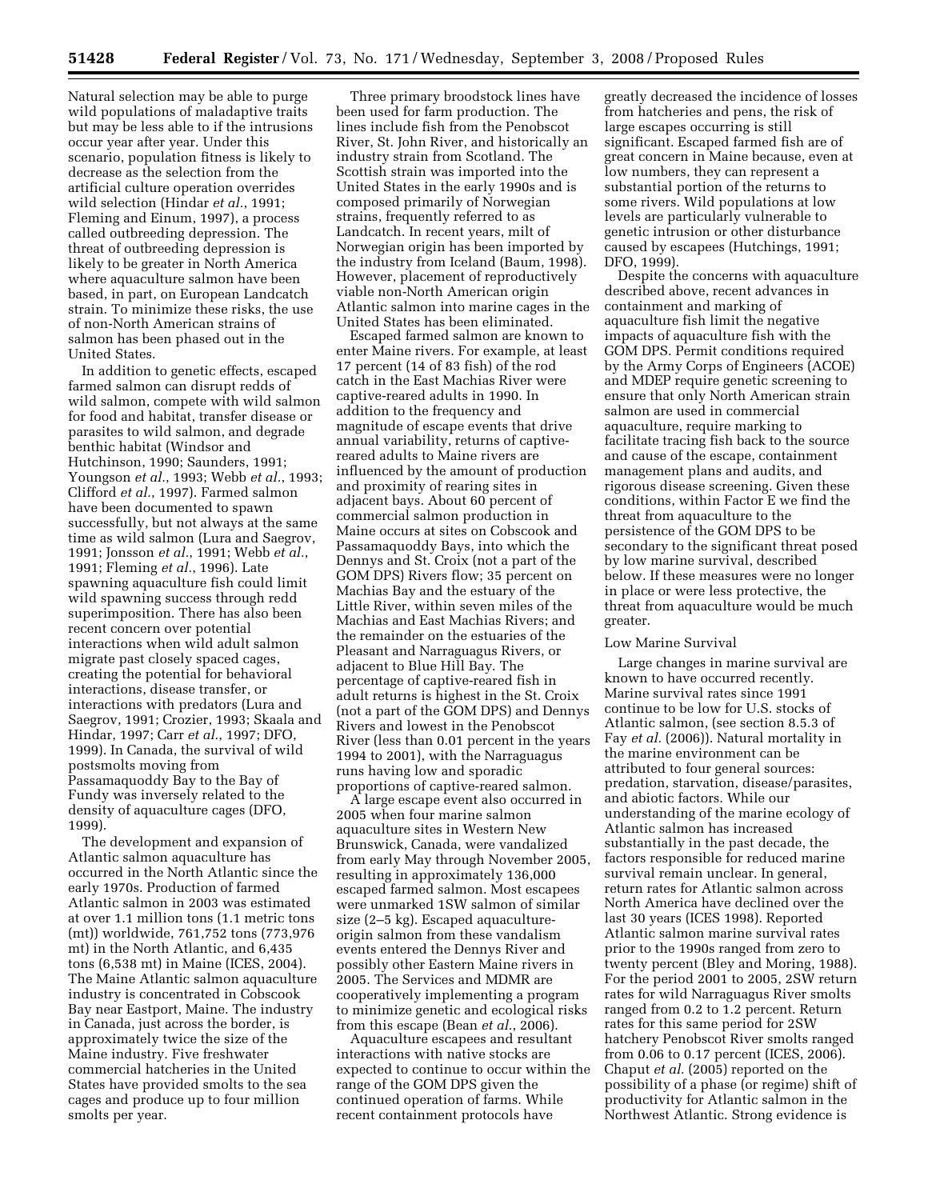Natural selection may be able to purge wild populations of maladaptive traits but may be less able to if the intrusions occur year after year. Under this scenario, population fitness is likely to decrease as the selection from the artificial culture operation overrides wild selection (Hindar *et al.*, 1991; Fleming and Einum, 1997), a process called outbreeding depression. The threat of outbreeding depression is likely to be greater in North America where aquaculture salmon have been based, in part, on European Landcatch strain. To minimize these risks, the use of non-North American strains of salmon has been phased out in the United States.

In addition to genetic effects, escaped farmed salmon can disrupt redds of wild salmon, compete with wild salmon for food and habitat, transfer disease or parasites to wild salmon, and degrade benthic habitat (Windsor and Hutchinson, 1990; Saunders, 1991; Youngson *et al.*, 1993; Webb *et al.*, 1993; Clifford *et al.*, 1997). Farmed salmon have been documented to spawn successfully, but not always at the same time as wild salmon (Lura and Saegrov, 1991; Jonsson *et al.*, 1991; Webb *et al.*, 1991; Fleming *et al.*, 1996). Late spawning aquaculture fish could limit wild spawning success through redd superimposition. There has also been recent concern over potential interactions when wild adult salmon migrate past closely spaced cages, creating the potential for behavioral interactions, disease transfer, or interactions with predators (Lura and Saegrov, 1991; Crozier, 1993; Skaala and Hindar, 1997; Carr *et al.*, 1997; DFO, 1999). In Canada, the survival of wild postsmolts moving from Passamaquoddy Bay to the Bay of Fundy was inversely related to the density of aquaculture cages (DFO, 1999).

The development and expansion of Atlantic salmon aquaculture has occurred in the North Atlantic since the early 1970s. Production of farmed Atlantic salmon in 2003 was estimated at over 1.1 million tons (1.1 metric tons (mt)) worldwide, 761,752 tons (773,976 mt) in the North Atlantic, and 6,435 tons (6,538 mt) in Maine (ICES, 2004). The Maine Atlantic salmon aquaculture industry is concentrated in Cobscook Bay near Eastport, Maine. The industry in Canada, just across the border, is approximately twice the size of the Maine industry. Five freshwater commercial hatcheries in the United States have provided smolts to the sea cages and produce up to four million smolts per year.

Three primary broodstock lines have been used for farm production. The lines include fish from the Penobscot River, St. John River, and historically an industry strain from Scotland. The Scottish strain was imported into the United States in the early 1990s and is composed primarily of Norwegian strains, frequently referred to as Landcatch. In recent years, milt of Norwegian origin has been imported by the industry from Iceland (Baum, 1998). However, placement of reproductively viable non-North American origin Atlantic salmon into marine cages in the United States has been eliminated.

Escaped farmed salmon are known to enter Maine rivers. For example, at least 17 percent (14 of 83 fish) of the rod catch in the East Machias River were captive-reared adults in 1990. In addition to the frequency and magnitude of escape events that drive annual variability, returns of captivereared adults to Maine rivers are influenced by the amount of production and proximity of rearing sites in adjacent bays. About 60 percent of commercial salmon production in Maine occurs at sites on Cobscook and Passamaquoddy Bays, into which the Dennys and St. Croix (not a part of the GOM DPS) Rivers flow; 35 percent on Machias Bay and the estuary of the Little River, within seven miles of the Machias and East Machias Rivers; and the remainder on the estuaries of the Pleasant and Narraguagus Rivers, or adjacent to Blue Hill Bay. The percentage of captive-reared fish in adult returns is highest in the St. Croix (not a part of the GOM DPS) and Dennys Rivers and lowest in the Penobscot River (less than 0.01 percent in the years 1994 to 2001), with the Narraguagus runs having low and sporadic proportions of captive-reared salmon.

A large escape event also occurred in 2005 when four marine salmon aquaculture sites in Western New Brunswick, Canada, were vandalized from early May through November 2005, resulting in approximately 136,000 escaped farmed salmon. Most escapees were unmarked 1SW salmon of similar size (2–5 kg). Escaped aquacultureorigin salmon from these vandalism events entered the Dennys River and possibly other Eastern Maine rivers in 2005. The Services and MDMR are cooperatively implementing a program to minimize genetic and ecological risks from this escape (Bean *et al.*, 2006).

Aquaculture escapees and resultant interactions with native stocks are expected to continue to occur within the range of the GOM DPS given the continued operation of farms. While recent containment protocols have

greatly decreased the incidence of losses from hatcheries and pens, the risk of large escapes occurring is still significant. Escaped farmed fish are of great concern in Maine because, even at low numbers, they can represent a substantial portion of the returns to some rivers. Wild populations at low levels are particularly vulnerable to genetic intrusion or other disturbance caused by escapees (Hutchings, 1991; DFO, 1999).

Despite the concerns with aquaculture described above, recent advances in containment and marking of aquaculture fish limit the negative impacts of aquaculture fish with the GOM DPS. Permit conditions required by the Army Corps of Engineers (ACOE) and MDEP require genetic screening to ensure that only North American strain salmon are used in commercial aquaculture, require marking to facilitate tracing fish back to the source and cause of the escape, containment management plans and audits, and rigorous disease screening. Given these conditions, within Factor E we find the threat from aquaculture to the persistence of the GOM DPS to be secondary to the significant threat posed by low marine survival, described below. If these measures were no longer in place or were less protective, the threat from aquaculture would be much greater.

## Low Marine Survival

Large changes in marine survival are known to have occurred recently. Marine survival rates since 1991 continue to be low for U.S. stocks of Atlantic salmon, (see section 8.5.3 of Fay *et al.* (2006)). Natural mortality in the marine environment can be attributed to four general sources: predation, starvation, disease/parasites, and abiotic factors. While our understanding of the marine ecology of Atlantic salmon has increased substantially in the past decade, the factors responsible for reduced marine survival remain unclear. In general, return rates for Atlantic salmon across North America have declined over the last 30 years (ICES 1998). Reported Atlantic salmon marine survival rates prior to the 1990s ranged from zero to twenty percent (Bley and Moring, 1988). For the period 2001 to 2005, 2SW return rates for wild Narraguagus River smolts ranged from 0.2 to 1.2 percent. Return rates for this same period for 2SW hatchery Penobscot River smolts ranged from 0.06 to 0.17 percent (ICES, 2006). Chaput *et al.* (2005) reported on the possibility of a phase (or regime) shift of productivity for Atlantic salmon in the Northwest Atlantic. Strong evidence is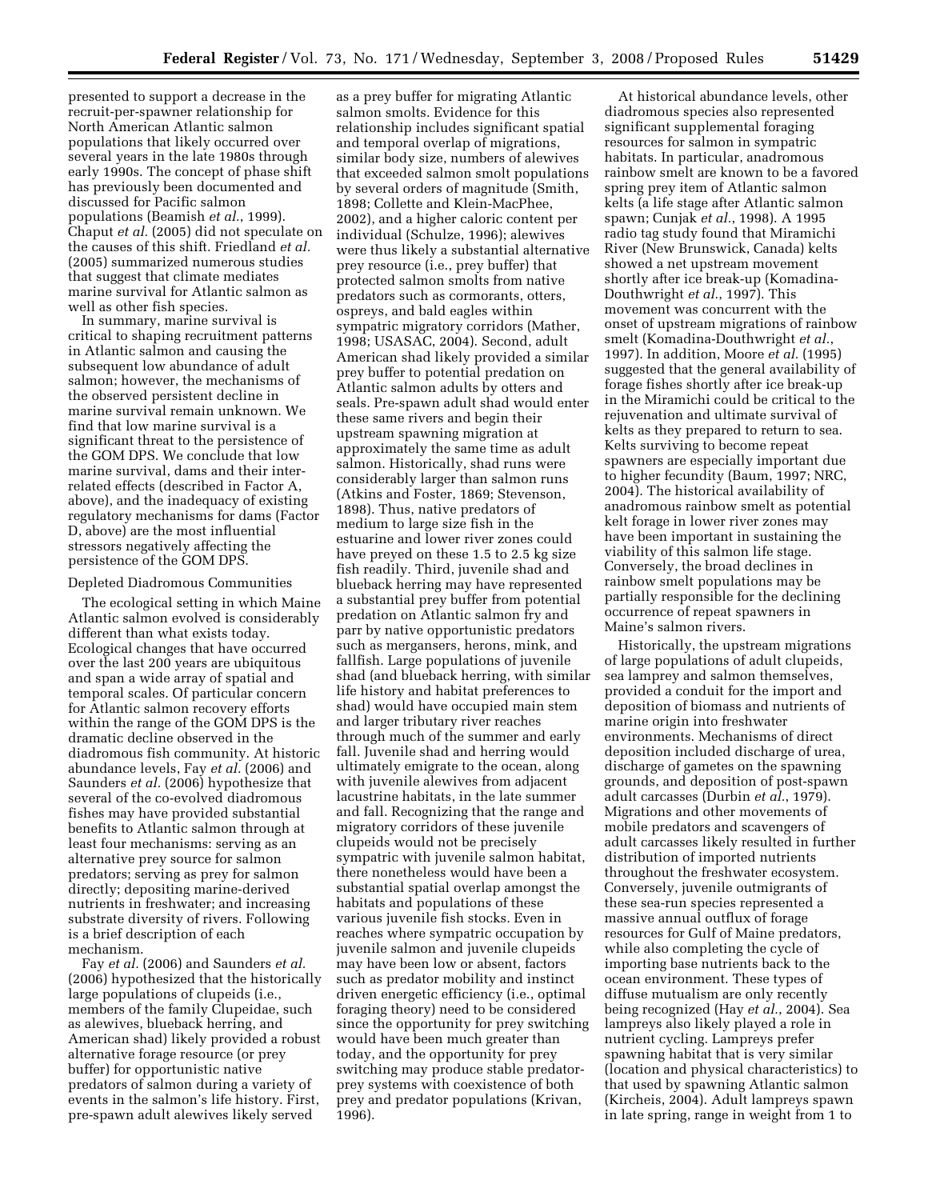presented to support a decrease in the recruit-per-spawner relationship for North American Atlantic salmon populations that likely occurred over several years in the late 1980s through early 1990s. The concept of phase shift has previously been documented and discussed for Pacific salmon populations (Beamish *et al.*, 1999). Chaput *et al.* (2005) did not speculate on the causes of this shift. Friedland *et al.*  (2005) summarized numerous studies that suggest that climate mediates marine survival for Atlantic salmon as well as other fish species.

In summary, marine survival is critical to shaping recruitment patterns in Atlantic salmon and causing the subsequent low abundance of adult salmon; however, the mechanisms of the observed persistent decline in marine survival remain unknown. We find that low marine survival is a significant threat to the persistence of the GOM DPS. We conclude that low marine survival, dams and their interrelated effects (described in Factor A, above), and the inadequacy of existing regulatory mechanisms for dams (Factor D, above) are the most influential stressors negatively affecting the persistence of the GOM DPS.

#### Depleted Diadromous Communities

The ecological setting in which Maine Atlantic salmon evolved is considerably different than what exists today. Ecological changes that have occurred over the last 200 years are ubiquitous and span a wide array of spatial and temporal scales. Of particular concern for Atlantic salmon recovery efforts within the range of the GOM DPS is the dramatic decline observed in the diadromous fish community. At historic abundance levels, Fay *et al.* (2006) and Saunders *et al.* (2006) hypothesize that several of the co-evolved diadromous fishes may have provided substantial benefits to Atlantic salmon through at least four mechanisms: serving as an alternative prey source for salmon predators; serving as prey for salmon directly; depositing marine-derived nutrients in freshwater; and increasing substrate diversity of rivers. Following is a brief description of each mechanism.

Fay *et al.* (2006) and Saunders *et al.*  (2006) hypothesized that the historically large populations of clupeids (i.e., members of the family Clupeidae, such as alewives, blueback herring, and American shad) likely provided a robust alternative forage resource (or prey buffer) for opportunistic native predators of salmon during a variety of events in the salmon's life history. First, pre-spawn adult alewives likely served

as a prey buffer for migrating Atlantic salmon smolts. Evidence for this relationship includes significant spatial and temporal overlap of migrations, similar body size, numbers of alewives that exceeded salmon smolt populations by several orders of magnitude (Smith, 1898; Collette and Klein-MacPhee, 2002), and a higher caloric content per individual (Schulze, 1996); alewives were thus likely a substantial alternative prey resource (i.e., prey buffer) that protected salmon smolts from native predators such as cormorants, otters, ospreys, and bald eagles within sympatric migratory corridors (Mather, 1998; USASAC, 2004). Second, adult American shad likely provided a similar prey buffer to potential predation on Atlantic salmon adults by otters and seals. Pre-spawn adult shad would enter these same rivers and begin their upstream spawning migration at approximately the same time as adult salmon. Historically, shad runs were considerably larger than salmon runs (Atkins and Foster, 1869; Stevenson, 1898). Thus, native predators of medium to large size fish in the estuarine and lower river zones could have preyed on these 1.5 to 2.5 kg size fish readily. Third, juvenile shad and blueback herring may have represented a substantial prey buffer from potential predation on Atlantic salmon fry and parr by native opportunistic predators such as mergansers, herons, mink, and fallfish. Large populations of juvenile shad (and blueback herring, with similar life history and habitat preferences to shad) would have occupied main stem and larger tributary river reaches through much of the summer and early fall. Juvenile shad and herring would ultimately emigrate to the ocean, along with juvenile alewives from adjacent lacustrine habitats, in the late summer and fall. Recognizing that the range and migratory corridors of these juvenile clupeids would not be precisely sympatric with juvenile salmon habitat, there nonetheless would have been a substantial spatial overlap amongst the habitats and populations of these various juvenile fish stocks. Even in reaches where sympatric occupation by juvenile salmon and juvenile clupeids may have been low or absent, factors such as predator mobility and instinct driven energetic efficiency (i.e., optimal foraging theory) need to be considered since the opportunity for prey switching would have been much greater than today, and the opportunity for prey switching may produce stable predatorprey systems with coexistence of both prey and predator populations (Krivan, 1996).

At historical abundance levels, other diadromous species also represented significant supplemental foraging resources for salmon in sympatric habitats. In particular, anadromous rainbow smelt are known to be a favored spring prey item of Atlantic salmon kelts (a life stage after Atlantic salmon spawn; Cunjak *et al.*, 1998). A 1995 radio tag study found that Miramichi River (New Brunswick, Canada) kelts showed a net upstream movement shortly after ice break-up (Komadina-Douthwright *et al.*, 1997). This movement was concurrent with the onset of upstream migrations of rainbow smelt (Komadina-Douthwright *et al.*, 1997). In addition, Moore *et al.* (1995) suggested that the general availability of forage fishes shortly after ice break-up in the Miramichi could be critical to the rejuvenation and ultimate survival of kelts as they prepared to return to sea. Kelts surviving to become repeat spawners are especially important due to higher fecundity (Baum, 1997; NRC, 2004). The historical availability of anadromous rainbow smelt as potential kelt forage in lower river zones may have been important in sustaining the viability of this salmon life stage. Conversely, the broad declines in rainbow smelt populations may be partially responsible for the declining occurrence of repeat spawners in Maine's salmon rivers.

Historically, the upstream migrations of large populations of adult clupeids, sea lamprey and salmon themselves, provided a conduit for the import and deposition of biomass and nutrients of marine origin into freshwater environments. Mechanisms of direct deposition included discharge of urea, discharge of gametes on the spawning grounds, and deposition of post-spawn adult carcasses (Durbin *et al.*, 1979). Migrations and other movements of mobile predators and scavengers of adult carcasses likely resulted in further distribution of imported nutrients throughout the freshwater ecosystem. Conversely, juvenile outmigrants of these sea-run species represented a massive annual outflux of forage resources for Gulf of Maine predators, while also completing the cycle of importing base nutrients back to the ocean environment. These types of diffuse mutualism are only recently being recognized (Hay *et al.*, 2004). Sea lampreys also likely played a role in nutrient cycling. Lampreys prefer spawning habitat that is very similar (location and physical characteristics) to that used by spawning Atlantic salmon (Kircheis, 2004). Adult lampreys spawn in late spring, range in weight from 1 to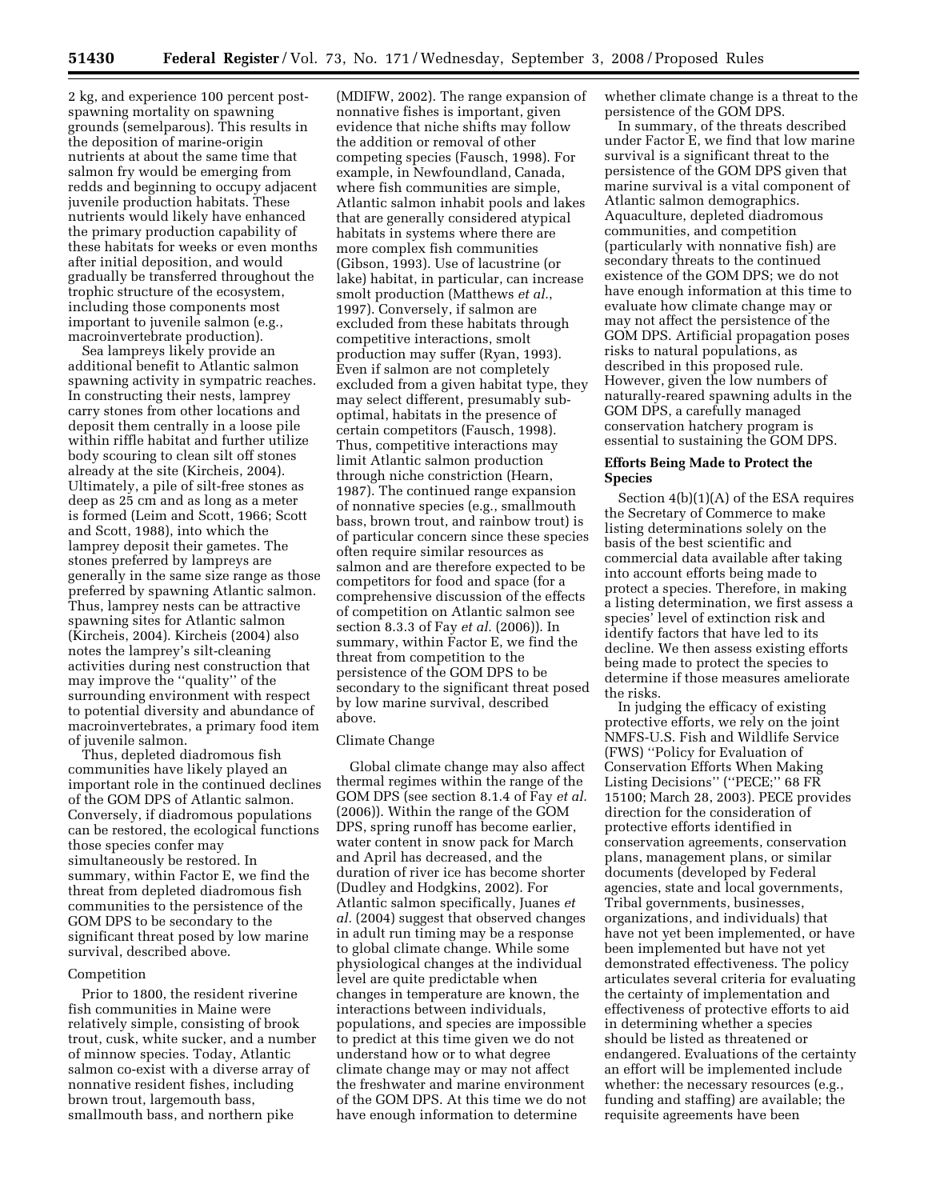2 kg, and experience 100 percent postspawning mortality on spawning grounds (semelparous). This results in the deposition of marine-origin nutrients at about the same time that salmon fry would be emerging from redds and beginning to occupy adjacent juvenile production habitats. These nutrients would likely have enhanced the primary production capability of these habitats for weeks or even months after initial deposition, and would gradually be transferred throughout the trophic structure of the ecosystem, including those components most important to juvenile salmon (e.g., macroinvertebrate production).

Sea lampreys likely provide an additional benefit to Atlantic salmon spawning activity in sympatric reaches. In constructing their nests, lamprey carry stones from other locations and deposit them centrally in a loose pile within riffle habitat and further utilize body scouring to clean silt off stones already at the site (Kircheis, 2004). Ultimately, a pile of silt-free stones as deep as 25 cm and as long as a meter is formed (Leim and Scott, 1966; Scott and Scott, 1988), into which the lamprey deposit their gametes. The stones preferred by lampreys are generally in the same size range as those preferred by spawning Atlantic salmon. Thus, lamprey nests can be attractive spawning sites for Atlantic salmon (Kircheis, 2004). Kircheis (2004) also notes the lamprey's silt-cleaning activities during nest construction that may improve the ''quality'' of the surrounding environment with respect to potential diversity and abundance of macroinvertebrates, a primary food item of juvenile salmon.

Thus, depleted diadromous fish communities have likely played an important role in the continued declines of the GOM DPS of Atlantic salmon. Conversely, if diadromous populations can be restored, the ecological functions those species confer may simultaneously be restored. In summary, within Factor E, we find the threat from depleted diadromous fish communities to the persistence of the GOM DPS to be secondary to the significant threat posed by low marine survival, described above.

#### Competition

Prior to 1800, the resident riverine fish communities in Maine were relatively simple, consisting of brook trout, cusk, white sucker, and a number of minnow species. Today, Atlantic salmon co-exist with a diverse array of nonnative resident fishes, including brown trout, largemouth bass, smallmouth bass, and northern pike

(MDIFW, 2002). The range expansion of nonnative fishes is important, given evidence that niche shifts may follow the addition or removal of other competing species (Fausch, 1998). For example, in Newfoundland, Canada, where fish communities are simple, Atlantic salmon inhabit pools and lakes that are generally considered atypical habitats in systems where there are more complex fish communities (Gibson, 1993). Use of lacustrine (or lake) habitat, in particular, can increase smolt production (Matthews *et al.*, 1997). Conversely, if salmon are excluded from these habitats through competitive interactions, smolt production may suffer (Ryan, 1993). Even if salmon are not completely excluded from a given habitat type, they may select different, presumably suboptimal, habitats in the presence of certain competitors (Fausch, 1998). Thus, competitive interactions may limit Atlantic salmon production through niche constriction (Hearn, 1987). The continued range expansion of nonnative species (e.g., smallmouth bass, brown trout, and rainbow trout) is of particular concern since these species often require similar resources as salmon and are therefore expected to be competitors for food and space (for a comprehensive discussion of the effects of competition on Atlantic salmon see section 8.3.3 of Fay *et al.* (2006)). In summary, within Factor E, we find the threat from competition to the persistence of the GOM DPS to be secondary to the significant threat posed by low marine survival, described above.

#### Climate Change

Global climate change may also affect thermal regimes within the range of the GOM DPS (see section 8.1.4 of Fay *et al.*  (2006)). Within the range of the GOM DPS, spring runoff has become earlier, water content in snow pack for March and April has decreased, and the duration of river ice has become shorter (Dudley and Hodgkins, 2002). For Atlantic salmon specifically, Juanes *et al.* (2004) suggest that observed changes in adult run timing may be a response to global climate change. While some physiological changes at the individual level are quite predictable when changes in temperature are known, the interactions between individuals, populations, and species are impossible to predict at this time given we do not understand how or to what degree climate change may or may not affect the freshwater and marine environment of the GOM DPS. At this time we do not have enough information to determine

whether climate change is a threat to the persistence of the GOM DPS.

In summary, of the threats described under Factor E, we find that low marine survival is a significant threat to the persistence of the GOM DPS given that marine survival is a vital component of Atlantic salmon demographics. Aquaculture, depleted diadromous communities, and competition (particularly with nonnative fish) are secondary threats to the continued existence of the GOM DPS; we do not have enough information at this time to evaluate how climate change may or may not affect the persistence of the GOM DPS. Artificial propagation poses risks to natural populations, as described in this proposed rule. However, given the low numbers of naturally-reared spawning adults in the GOM DPS, a carefully managed conservation hatchery program is essential to sustaining the GOM DPS.

## **Efforts Being Made to Protect the Species**

Section 4(b)(1)(A) of the ESA requires the Secretary of Commerce to make listing determinations solely on the basis of the best scientific and commercial data available after taking into account efforts being made to protect a species. Therefore, in making a listing determination, we first assess a species' level of extinction risk and identify factors that have led to its decline. We then assess existing efforts being made to protect the species to determine if those measures ameliorate the risks.

In judging the efficacy of existing protective efforts, we rely on the joint NMFS-U.S. Fish and Wildlife Service (FWS) ''Policy for Evaluation of Conservation Efforts When Making Listing Decisions" ("PECE;" 68 FR 15100; March 28, 2003). PECE provides direction for the consideration of protective efforts identified in conservation agreements, conservation plans, management plans, or similar documents (developed by Federal agencies, state and local governments, Tribal governments, businesses, organizations, and individuals) that have not yet been implemented, or have been implemented but have not yet demonstrated effectiveness. The policy articulates several criteria for evaluating the certainty of implementation and effectiveness of protective efforts to aid in determining whether a species should be listed as threatened or endangered. Evaluations of the certainty an effort will be implemented include whether: the necessary resources (e.g., funding and staffing) are available; the requisite agreements have been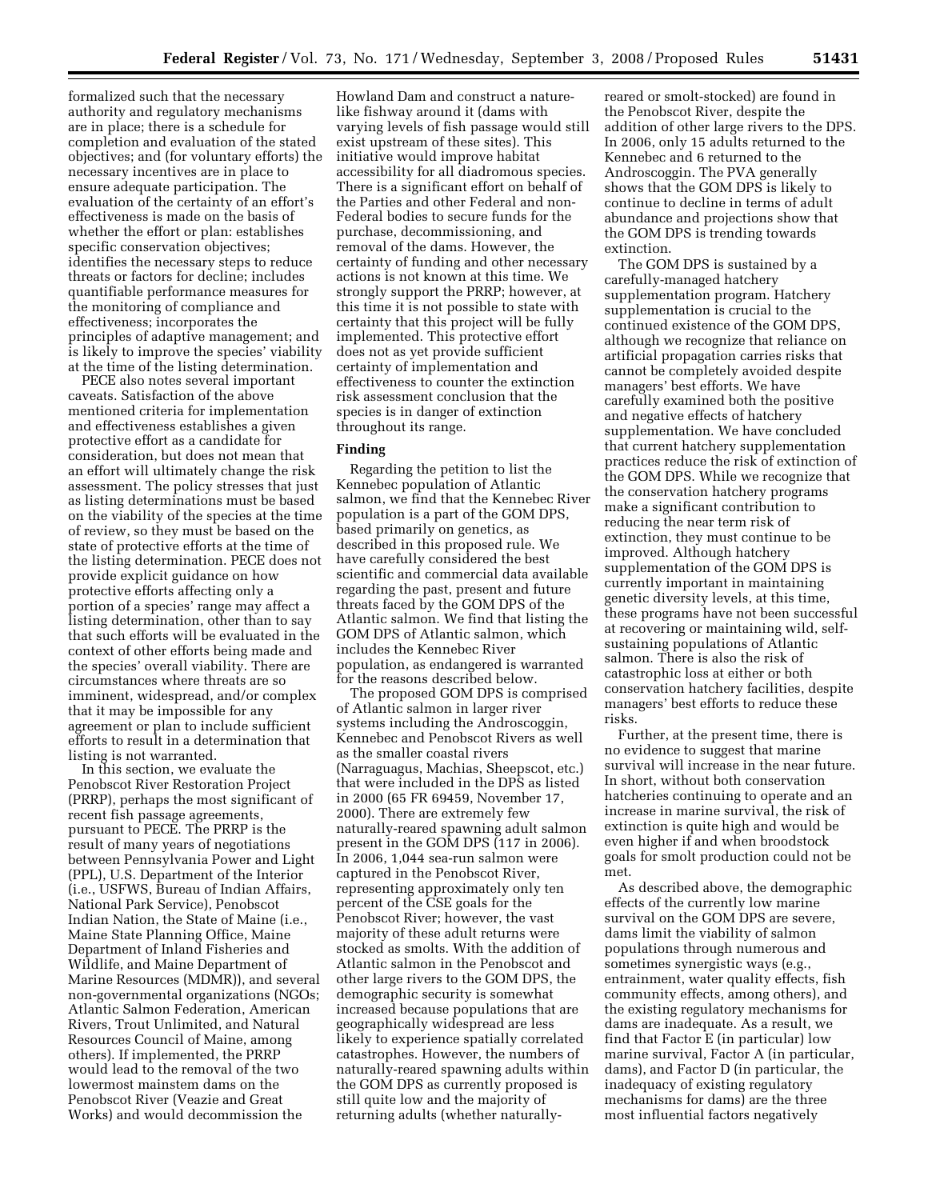formalized such that the necessary authority and regulatory mechanisms are in place; there is a schedule for completion and evaluation of the stated objectives; and (for voluntary efforts) the necessary incentives are in place to ensure adequate participation. The evaluation of the certainty of an effort's effectiveness is made on the basis of whether the effort or plan: establishes specific conservation objectives; identifies the necessary steps to reduce threats or factors for decline; includes quantifiable performance measures for the monitoring of compliance and effectiveness; incorporates the principles of adaptive management; and is likely to improve the species' viability at the time of the listing determination.

PECE also notes several important caveats. Satisfaction of the above mentioned criteria for implementation and effectiveness establishes a given protective effort as a candidate for consideration, but does not mean that an effort will ultimately change the risk assessment. The policy stresses that just as listing determinations must be based on the viability of the species at the time of review, so they must be based on the state of protective efforts at the time of the listing determination. PECE does not provide explicit guidance on how protective efforts affecting only a portion of a species' range may affect a listing determination, other than to say that such efforts will be evaluated in the context of other efforts being made and the species' overall viability. There are circumstances where threats are so imminent, widespread, and/or complex that it may be impossible for any agreement or plan to include sufficient efforts to result in a determination that listing is not warranted.

In this section, we evaluate the Penobscot River Restoration Project (PRRP), perhaps the most significant of recent fish passage agreements, pursuant to PECE. The PRRP is the result of many years of negotiations between Pennsylvania Power and Light (PPL), U.S. Department of the Interior (i.e., USFWS, Bureau of Indian Affairs, National Park Service), Penobscot Indian Nation, the State of Maine (i.e., Maine State Planning Office, Maine Department of Inland Fisheries and Wildlife, and Maine Department of Marine Resources (MDMR)), and several non-governmental organizations (NGOs; Atlantic Salmon Federation, American Rivers, Trout Unlimited, and Natural Resources Council of Maine, among others). If implemented, the PRRP would lead to the removal of the two lowermost mainstem dams on the Penobscot River (Veazie and Great Works) and would decommission the

Howland Dam and construct a naturelike fishway around it (dams with varying levels of fish passage would still exist upstream of these sites). This initiative would improve habitat accessibility for all diadromous species. There is a significant effort on behalf of the Parties and other Federal and non-Federal bodies to secure funds for the purchase, decommissioning, and removal of the dams. However, the certainty of funding and other necessary actions is not known at this time. We strongly support the PRRP; however, at this time it is not possible to state with certainty that this project will be fully implemented. This protective effort does not as yet provide sufficient certainty of implementation and effectiveness to counter the extinction risk assessment conclusion that the species is in danger of extinction throughout its range.

#### **Finding**

Regarding the petition to list the Kennebec population of Atlantic salmon, we find that the Kennebec River population is a part of the GOM DPS, based primarily on genetics, as described in this proposed rule. We have carefully considered the best scientific and commercial data available regarding the past, present and future threats faced by the GOM DPS of the Atlantic salmon. We find that listing the GOM DPS of Atlantic salmon, which includes the Kennebec River population, as endangered is warranted for the reasons described below.

The proposed GOM DPS is comprised of Atlantic salmon in larger river systems including the Androscoggin, Kennebec and Penobscot Rivers as well as the smaller coastal rivers (Narraguagus, Machias, Sheepscot, etc.) that were included in the DPS as listed in 2000 (65 FR 69459, November 17, 2000). There are extremely few naturally-reared spawning adult salmon present in the GOM DPS (117 in 2006). In 2006, 1,044 sea-run salmon were captured in the Penobscot River, representing approximately only ten percent of the CSE goals for the Penobscot River; however, the vast majority of these adult returns were stocked as smolts. With the addition of Atlantic salmon in the Penobscot and other large rivers to the GOM DPS, the demographic security is somewhat increased because populations that are geographically widespread are less likely to experience spatially correlated catastrophes. However, the numbers of naturally-reared spawning adults within the GOM DPS as currently proposed is still quite low and the majority of returning adults (whether naturally-

reared or smolt-stocked) are found in the Penobscot River, despite the addition of other large rivers to the DPS. In 2006, only 15 adults returned to the Kennebec and 6 returned to the Androscoggin. The PVA generally shows that the GOM DPS is likely to continue to decline in terms of adult abundance and projections show that the GOM DPS is trending towards extinction.

The GOM DPS is sustained by a carefully-managed hatchery supplementation program. Hatchery supplementation is crucial to the continued existence of the GOM DPS, although we recognize that reliance on artificial propagation carries risks that cannot be completely avoided despite managers' best efforts. We have carefully examined both the positive and negative effects of hatchery supplementation. We have concluded that current hatchery supplementation practices reduce the risk of extinction of the GOM DPS. While we recognize that the conservation hatchery programs make a significant contribution to reducing the near term risk of extinction, they must continue to be improved. Although hatchery supplementation of the GOM DPS is currently important in maintaining genetic diversity levels, at this time, these programs have not been successful at recovering or maintaining wild, selfsustaining populations of Atlantic salmon. There is also the risk of catastrophic loss at either or both conservation hatchery facilities, despite managers' best efforts to reduce these risks.

Further, at the present time, there is no evidence to suggest that marine survival will increase in the near future. In short, without both conservation hatcheries continuing to operate and an increase in marine survival, the risk of extinction is quite high and would be even higher if and when broodstock goals for smolt production could not be met.

As described above, the demographic effects of the currently low marine survival on the GOM DPS are severe, dams limit the viability of salmon populations through numerous and sometimes synergistic ways (e.g., entrainment, water quality effects, fish community effects, among others), and the existing regulatory mechanisms for dams are inadequate. As a result, we find that Factor E (in particular) low marine survival, Factor A (in particular, dams), and Factor D (in particular, the inadequacy of existing regulatory mechanisms for dams) are the three most influential factors negatively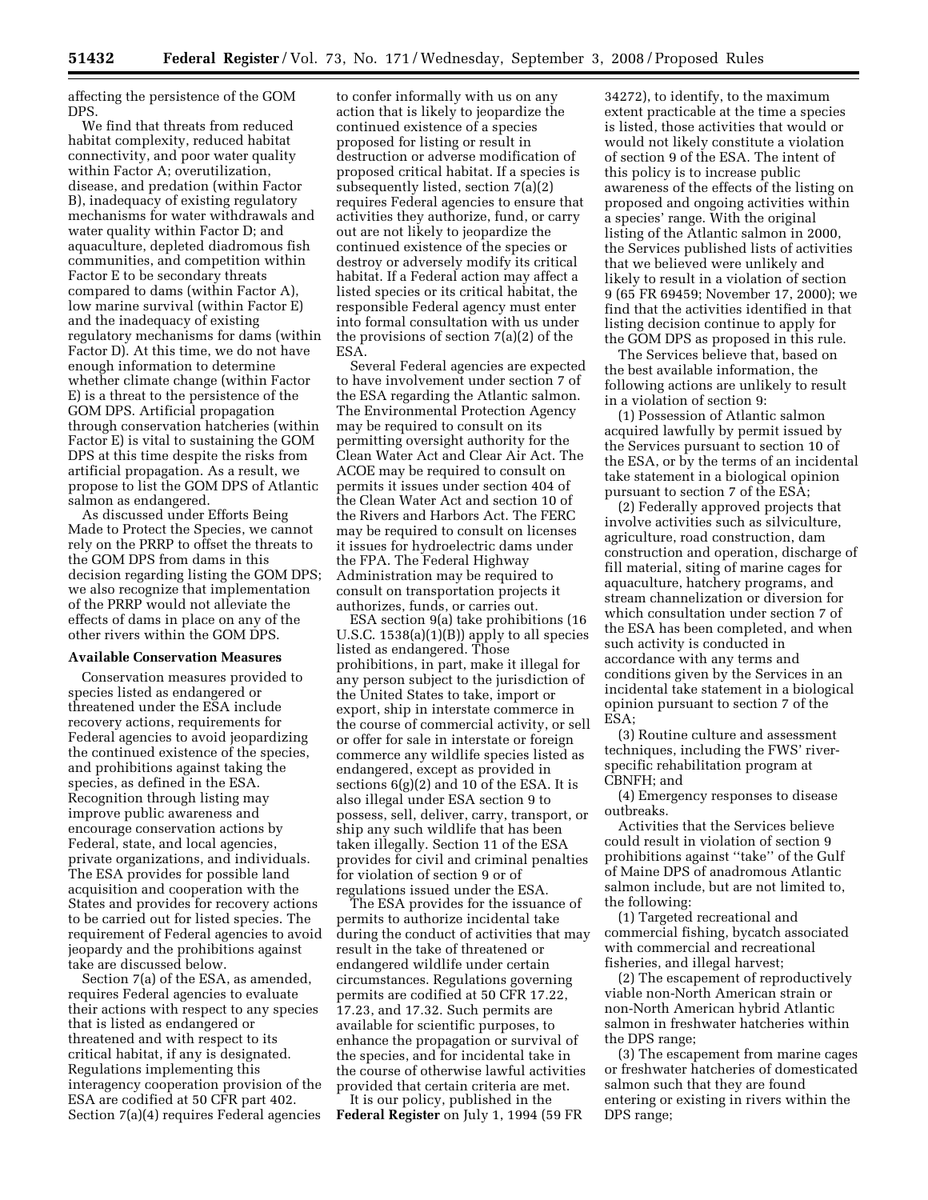affecting the persistence of the GOM DPS.

We find that threats from reduced habitat complexity, reduced habitat connectivity, and poor water quality within Factor A; overutilization, disease, and predation (within Factor B), inadequacy of existing regulatory mechanisms for water withdrawals and water quality within Factor D; and aquaculture, depleted diadromous fish communities, and competition within Factor E to be secondary threats compared to dams (within Factor A), low marine survival (within Factor E) and the inadequacy of existing regulatory mechanisms for dams (within Factor D). At this time, we do not have enough information to determine whether climate change (within Factor E) is a threat to the persistence of the GOM DPS. Artificial propagation through conservation hatcheries (within Factor E) is vital to sustaining the GOM DPS at this time despite the risks from artificial propagation. As a result, we propose to list the GOM DPS of Atlantic salmon as endangered.

As discussed under Efforts Being Made to Protect the Species, we cannot rely on the PRRP to offset the threats to the GOM DPS from dams in this decision regarding listing the GOM DPS; we also recognize that implementation of the PRRP would not alleviate the effects of dams in place on any of the other rivers within the GOM DPS.

## **Available Conservation Measures**

Conservation measures provided to species listed as endangered or threatened under the ESA include recovery actions, requirements for Federal agencies to avoid jeopardizing the continued existence of the species, and prohibitions against taking the species, as defined in the ESA. Recognition through listing may improve public awareness and encourage conservation actions by Federal, state, and local agencies, private organizations, and individuals. The ESA provides for possible land acquisition and cooperation with the States and provides for recovery actions to be carried out for listed species. The requirement of Federal agencies to avoid jeopardy and the prohibitions against take are discussed below.

Section 7(a) of the ESA, as amended, requires Federal agencies to evaluate their actions with respect to any species that is listed as endangered or threatened and with respect to its critical habitat, if any is designated. Regulations implementing this interagency cooperation provision of the ESA are codified at 50 CFR part 402. Section 7(a)(4) requires Federal agencies

to confer informally with us on any action that is likely to jeopardize the continued existence of a species proposed for listing or result in destruction or adverse modification of proposed critical habitat. If a species is subsequently listed, section 7(a)(2) requires Federal agencies to ensure that activities they authorize, fund, or carry out are not likely to jeopardize the continued existence of the species or destroy or adversely modify its critical habitat. If a Federal action may affect a listed species or its critical habitat, the responsible Federal agency must enter into formal consultation with us under the provisions of section 7(a)(2) of the ESA.

Several Federal agencies are expected to have involvement under section 7 of the ESA regarding the Atlantic salmon. The Environmental Protection Agency may be required to consult on its permitting oversight authority for the Clean Water Act and Clear Air Act. The ACOE may be required to consult on permits it issues under section 404 of the Clean Water Act and section 10 of the Rivers and Harbors Act. The FERC may be required to consult on licenses it issues for hydroelectric dams under the FPA. The Federal Highway Administration may be required to consult on transportation projects it authorizes, funds, or carries out.

ESA section 9(a) take prohibitions (16 U.S.C. 1538(a)(1)(B)) apply to all species listed as endangered. Those prohibitions, in part, make it illegal for any person subject to the jurisdiction of the United States to take, import or export, ship in interstate commerce in the course of commercial activity, or sell or offer for sale in interstate or foreign commerce any wildlife species listed as endangered, except as provided in sections  $6(g)(2)$  and 10 of the ESA. It is also illegal under ESA section 9 to possess, sell, deliver, carry, transport, or ship any such wildlife that has been taken illegally. Section 11 of the ESA provides for civil and criminal penalties for violation of section 9 or of regulations issued under the ESA.

The ESA provides for the issuance of permits to authorize incidental take during the conduct of activities that may result in the take of threatened or endangered wildlife under certain circumstances. Regulations governing permits are codified at 50 CFR 17.22, 17.23, and 17.32. Such permits are available for scientific purposes, to enhance the propagation or survival of the species, and for incidental take in the course of otherwise lawful activities provided that certain criteria are met. It is our policy, published in the

**Federal Register** on July 1, 1994 (59 FR

34272), to identify, to the maximum extent practicable at the time a species is listed, those activities that would or would not likely constitute a violation of section 9 of the ESA. The intent of this policy is to increase public awareness of the effects of the listing on proposed and ongoing activities within a species' range. With the original listing of the Atlantic salmon in 2000, the Services published lists of activities that we believed were unlikely and likely to result in a violation of section 9 (65 FR 69459; November 17, 2000); we find that the activities identified in that listing decision continue to apply for the GOM DPS as proposed in this rule.

The Services believe that, based on the best available information, the following actions are unlikely to result in a violation of section 9:

(1) Possession of Atlantic salmon acquired lawfully by permit issued by the Services pursuant to section 10 of the ESA, or by the terms of an incidental take statement in a biological opinion pursuant to section 7 of the ESA;

(2) Federally approved projects that involve activities such as silviculture, agriculture, road construction, dam construction and operation, discharge of fill material, siting of marine cages for aquaculture, hatchery programs, and stream channelization or diversion for which consultation under section 7 of the ESA has been completed, and when such activity is conducted in accordance with any terms and conditions given by the Services in an incidental take statement in a biological opinion pursuant to section 7 of the ESA;

(3) Routine culture and assessment techniques, including the FWS' riverspecific rehabilitation program at CBNFH; and

(4) Emergency responses to disease outbreaks.

Activities that the Services believe could result in violation of section 9 prohibitions against ''take'' of the Gulf of Maine DPS of anadromous Atlantic salmon include, but are not limited to, the following:

(1) Targeted recreational and commercial fishing, bycatch associated with commercial and recreational fisheries, and illegal harvest;

(2) The escapement of reproductively viable non-North American strain or non-North American hybrid Atlantic salmon in freshwater hatcheries within the DPS range;

(3) The escapement from marine cages or freshwater hatcheries of domesticated salmon such that they are found entering or existing in rivers within the DPS range;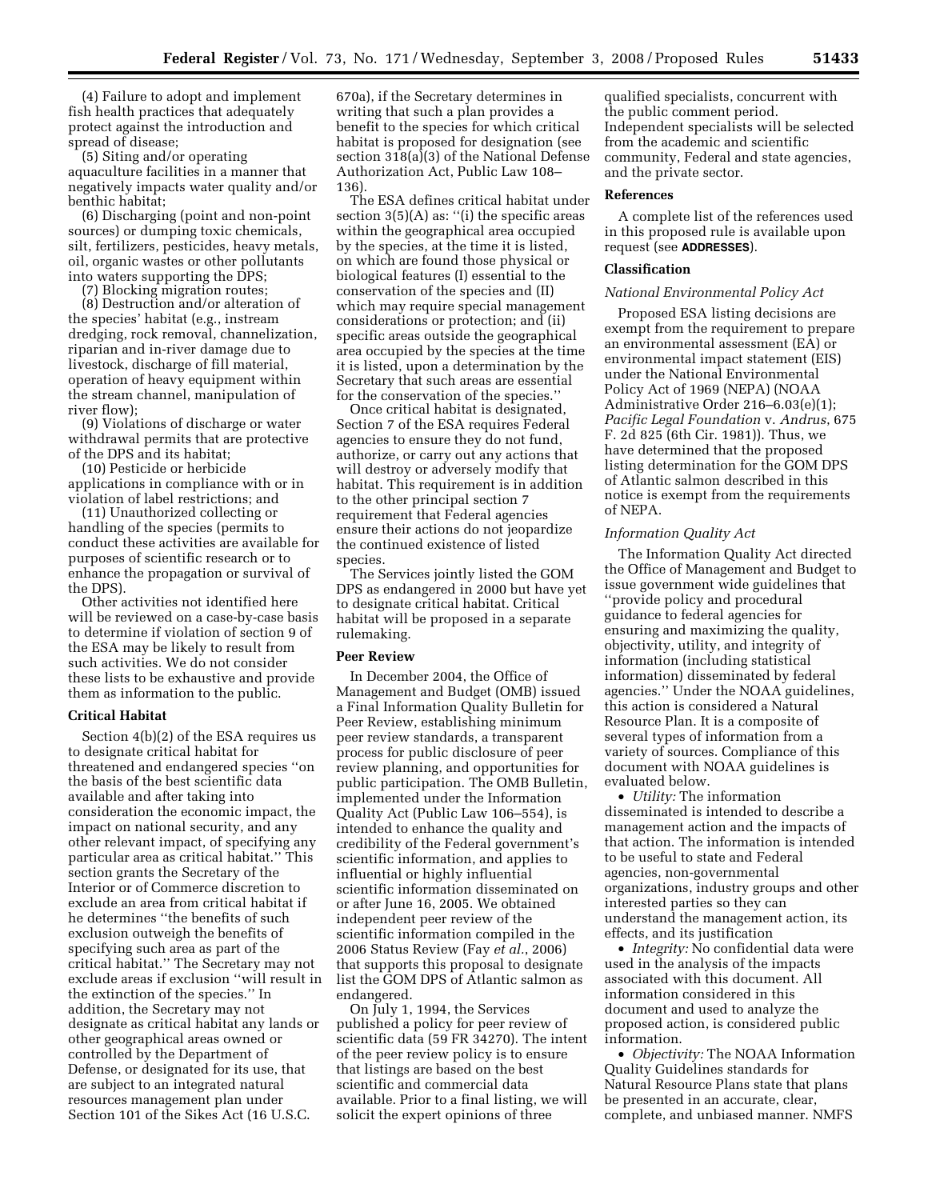(4) Failure to adopt and implement fish health practices that adequately protect against the introduction and spread of disease;

(5) Siting and/or operating aquaculture facilities in a manner that negatively impacts water quality and/or benthic habitat;

(6) Discharging (point and non-point sources) or dumping toxic chemicals, silt, fertilizers, pesticides, heavy metals, oil, organic wastes or other pollutants into waters supporting the DPS;

(7) Blocking migration routes;

(8) Destruction and/or alteration of the species' habitat (e.g., instream dredging, rock removal, channelization, riparian and in-river damage due to livestock, discharge of fill material, operation of heavy equipment within the stream channel, manipulation of river flow);

(9) Violations of discharge or water withdrawal permits that are protective of the DPS and its habitat;

(10) Pesticide or herbicide applications in compliance with or in violation of label restrictions; and

(11) Unauthorized collecting or handling of the species (permits to conduct these activities are available for purposes of scientific research or to enhance the propagation or survival of the DPS).

Other activities not identified here will be reviewed on a case-by-case basis to determine if violation of section 9 of the ESA may be likely to result from such activities. We do not consider these lists to be exhaustive and provide them as information to the public.

## **Critical Habitat**

Section 4(b)(2) of the ESA requires us to designate critical habitat for threatened and endangered species ''on the basis of the best scientific data available and after taking into consideration the economic impact, the impact on national security, and any other relevant impact, of specifying any particular area as critical habitat.'' This section grants the Secretary of the Interior or of Commerce discretion to exclude an area from critical habitat if he determines ''the benefits of such exclusion outweigh the benefits of specifying such area as part of the critical habitat.'' The Secretary may not exclude areas if exclusion ''will result in the extinction of the species.'' In addition, the Secretary may not designate as critical habitat any lands or other geographical areas owned or controlled by the Department of Defense, or designated for its use, that are subject to an integrated natural resources management plan under Section 101 of the Sikes Act (16 U.S.C.

670a), if the Secretary determines in writing that such a plan provides a benefit to the species for which critical habitat is proposed for designation (see section  $318(a)(3)$  of the National Defense Authorization Act, Public Law 108– 136).

The ESA defines critical habitat under section  $3(5)(A)$  as: "(i) the specific areas within the geographical area occupied by the species, at the time it is listed, on which are found those physical or biological features (I) essential to the conservation of the species and (II) which may require special management considerations or protection; and (ii) specific areas outside the geographical area occupied by the species at the time it is listed, upon a determination by the Secretary that such areas are essential for the conservation of the species.''

Once critical habitat is designated, Section 7 of the ESA requires Federal agencies to ensure they do not fund, authorize, or carry out any actions that will destroy or adversely modify that habitat. This requirement is in addition to the other principal section 7 requirement that Federal agencies ensure their actions do not jeopardize the continued existence of listed species.

The Services jointly listed the GOM DPS as endangered in 2000 but have yet to designate critical habitat. Critical habitat will be proposed in a separate rulemaking.

## **Peer Review**

In December 2004, the Office of Management and Budget (OMB) issued a Final Information Quality Bulletin for Peer Review, establishing minimum peer review standards, a transparent process for public disclosure of peer review planning, and opportunities for public participation. The OMB Bulletin, implemented under the Information Quality Act (Public Law 106–554), is intended to enhance the quality and credibility of the Federal government's scientific information, and applies to influential or highly influential scientific information disseminated on or after June 16, 2005. We obtained independent peer review of the scientific information compiled in the 2006 Status Review (Fay *et al.*, 2006) that supports this proposal to designate list the GOM DPS of Atlantic salmon as endangered.

On July 1, 1994, the Services published a policy for peer review of scientific data (59 FR 34270). The intent of the peer review policy is to ensure that listings are based on the best scientific and commercial data available. Prior to a final listing, we will solicit the expert opinions of three

qualified specialists, concurrent with the public comment period. Independent specialists will be selected from the academic and scientific community, Federal and state agencies, and the private sector.

#### **References**

A complete list of the references used in this proposed rule is available upon request (see **ADDRESSES**).

### **Classification**

### *National Environmental Policy Act*

Proposed ESA listing decisions are exempt from the requirement to prepare an environmental assessment (EA) or environmental impact statement (EIS) under the National Environmental Policy Act of 1969 (NEPA) (NOAA Administrative Order 216–6.03(e)(1); *Pacific Legal Foundation* v. *Andrus*, 675 F. 2d 825 (6th Cir. 1981)). Thus, we have determined that the proposed listing determination for the GOM DPS of Atlantic salmon described in this notice is exempt from the requirements of NEPA.

## *Information Quality Act*

The Information Quality Act directed the Office of Management and Budget to issue government wide guidelines that ''provide policy and procedural guidance to federal agencies for ensuring and maximizing the quality, objectivity, utility, and integrity of information (including statistical information) disseminated by federal agencies.'' Under the NOAA guidelines, this action is considered a Natural Resource Plan. It is a composite of several types of information from a variety of sources. Compliance of this document with NOAA guidelines is evaluated below.

• *Utility:* The information disseminated is intended to describe a management action and the impacts of that action. The information is intended to be useful to state and Federal agencies, non-governmental organizations, industry groups and other interested parties so they can understand the management action, its effects, and its justification

• *Integrity:* No confidential data were used in the analysis of the impacts associated with this document. All information considered in this document and used to analyze the proposed action, is considered public information.

• *Objectivity:* The NOAA Information Quality Guidelines standards for Natural Resource Plans state that plans be presented in an accurate, clear, complete, and unbiased manner. NMFS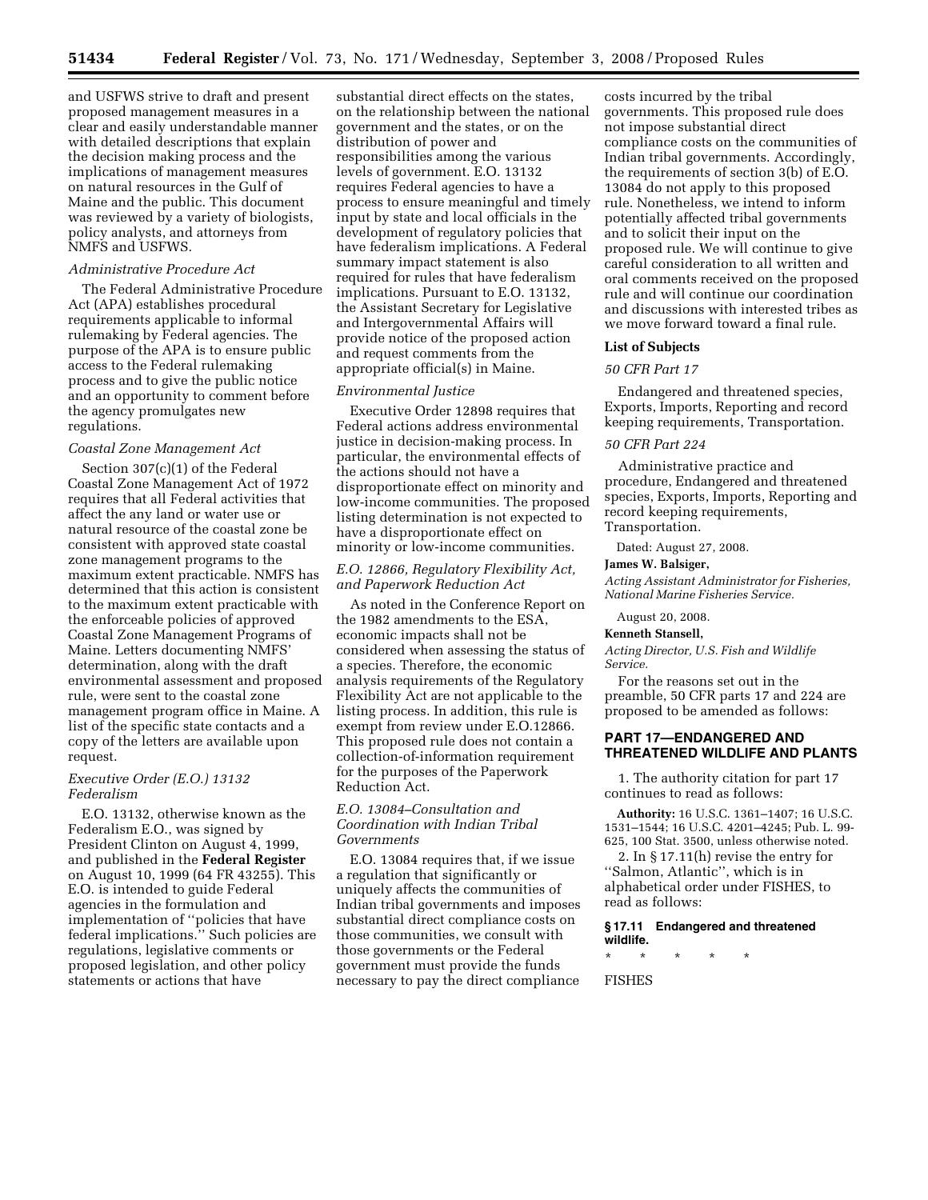and USFWS strive to draft and present proposed management measures in a clear and easily understandable manner with detailed descriptions that explain the decision making process and the implications of management measures on natural resources in the Gulf of Maine and the public. This document was reviewed by a variety of biologists, policy analysts, and attorneys from NMFS and USFWS.

## *Administrative Procedure Act*

The Federal Administrative Procedure Act (APA) establishes procedural requirements applicable to informal rulemaking by Federal agencies. The purpose of the APA is to ensure public access to the Federal rulemaking process and to give the public notice and an opportunity to comment before the agency promulgates new regulations.

## *Coastal Zone Management Act*

Section 307(c)(1) of the Federal Coastal Zone Management Act of 1972 requires that all Federal activities that affect the any land or water use or natural resource of the coastal zone be consistent with approved state coastal zone management programs to the maximum extent practicable. NMFS has determined that this action is consistent to the maximum extent practicable with the enforceable policies of approved Coastal Zone Management Programs of Maine. Letters documenting NMFS' determination, along with the draft environmental assessment and proposed rule, were sent to the coastal zone management program office in Maine. A list of the specific state contacts and a copy of the letters are available upon request.

## *Executive Order (E.O.) 13132 Federalism*

E.O. 13132, otherwise known as the Federalism E.O., was signed by President Clinton on August 4, 1999, and published in the **Federal Register**  on August 10, 1999 (64 FR 43255). This E.O. is intended to guide Federal agencies in the formulation and implementation of ''policies that have federal implications.'' Such policies are regulations, legislative comments or proposed legislation, and other policy statements or actions that have

substantial direct effects on the states, on the relationship between the national government and the states, or on the distribution of power and responsibilities among the various levels of government. E.O. 13132 requires Federal agencies to have a process to ensure meaningful and timely input by state and local officials in the development of regulatory policies that have federalism implications. A Federal summary impact statement is also required for rules that have federalism implications. Pursuant to E.O. 13132, the Assistant Secretary for Legislative and Intergovernmental Affairs will provide notice of the proposed action and request comments from the appropriate official(s) in Maine.

### *Environmental Justice*

Executive Order 12898 requires that Federal actions address environmental justice in decision-making process. In particular, the environmental effects of the actions should not have a disproportionate effect on minority and low-income communities. The proposed listing determination is not expected to have a disproportionate effect on minority or low-income communities.

## *E.O. 12866, Regulatory Flexibility Act, and Paperwork Reduction Act*

As noted in the Conference Report on the 1982 amendments to the ESA, economic impacts shall not be considered when assessing the status of a species. Therefore, the economic analysis requirements of the Regulatory Flexibility Act are not applicable to the listing process. In addition, this rule is exempt from review under E.O.12866. This proposed rule does not contain a collection-of-information requirement for the purposes of the Paperwork Reduction Act.

# *E.O. 13084–Consultation and Coordination with Indian Tribal Governments*

E.O. 13084 requires that, if we issue a regulation that significantly or uniquely affects the communities of Indian tribal governments and imposes substantial direct compliance costs on those communities, we consult with those governments or the Federal government must provide the funds necessary to pay the direct compliance

costs incurred by the tribal governments. This proposed rule does not impose substantial direct compliance costs on the communities of Indian tribal governments. Accordingly, the requirements of section 3(b) of E.O. 13084 do not apply to this proposed rule. Nonetheless, we intend to inform potentially affected tribal governments and to solicit their input on the proposed rule. We will continue to give careful consideration to all written and oral comments received on the proposed rule and will continue our coordination and discussions with interested tribes as we move forward toward a final rule.

#### **List of Subjects**

#### *50 CFR Part 17*

Endangered and threatened species, Exports, Imports, Reporting and record keeping requirements, Transportation.

#### *50 CFR Part 224*

Administrative practice and procedure, Endangered and threatened species, Exports, Imports, Reporting and record keeping requirements, Transportation.

Dated: August 27, 2008.

#### **James W. Balsiger,**

*Acting Assistant Administrator for Fisheries, National Marine Fisheries Service.* 

August 20, 2008.

#### **Kenneth Stansell,**

*Acting Director, U.S. Fish and Wildlife Service.* 

For the reasons set out in the preamble, 50 CFR parts 17 and 224 are proposed to be amended as follows:

## **PART 17—ENDANGERED AND THREATENED WILDLIFE AND PLANTS**

1. The authority citation for part 17 continues to read as follows:

**Authority:** 16 U.S.C. 1361–1407; 16 U.S.C. 1531–1544; 16 U.S.C. 4201–4245; Pub. L. 99- 625, 100 Stat. 3500, unless otherwise noted.

2. In § 17.11(h) revise the entry for ''Salmon, Atlantic'', which is in alphabetical order under FISHES, to read as follows:

#### **§ 17.11 Endangered and threatened wildlife.**

\* \* \* \* \*

FISHES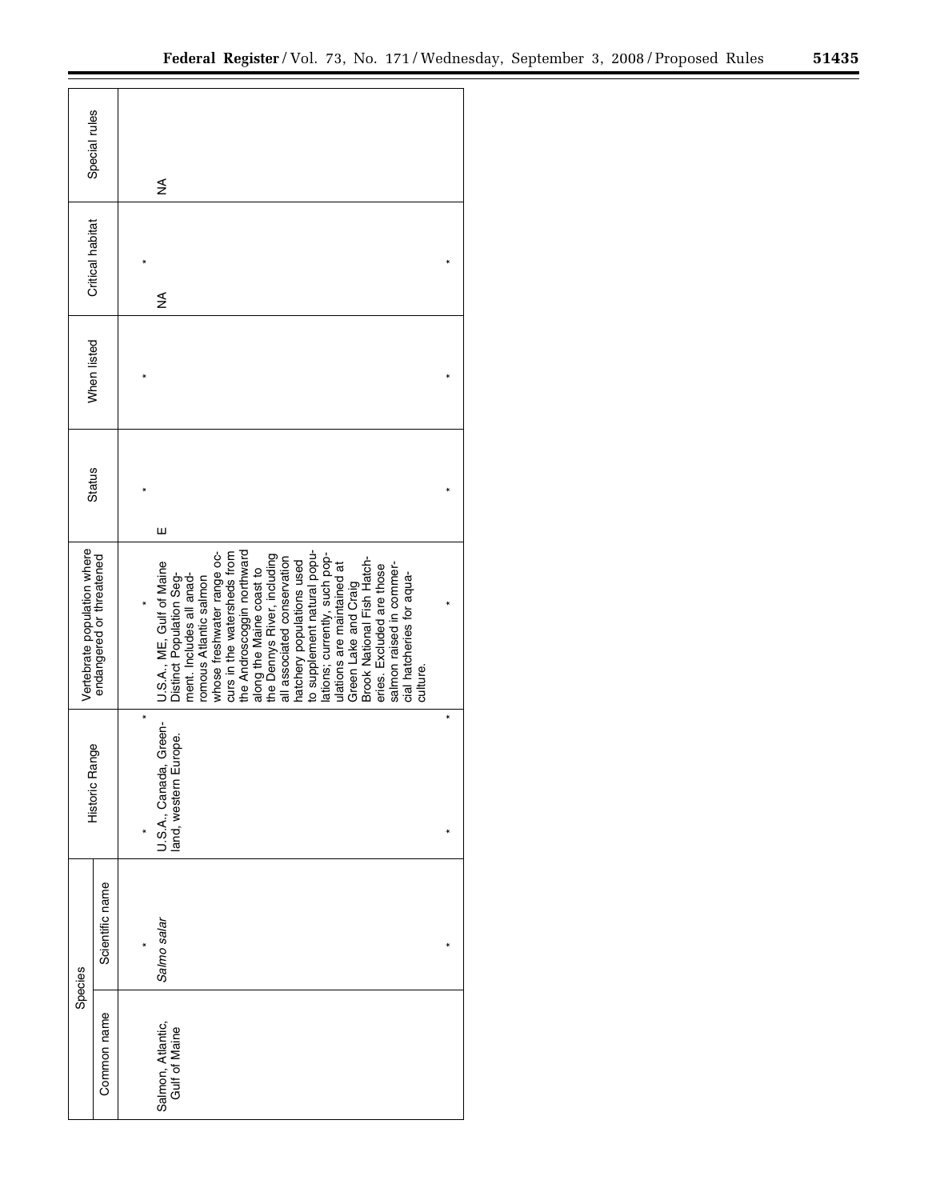|                             | Special rules            | ≸                                                                                                                                                                                                                                                                                                                                                                                                                                                                                                                                                                                   |   |  |  |
|-----------------------------|--------------------------|-------------------------------------------------------------------------------------------------------------------------------------------------------------------------------------------------------------------------------------------------------------------------------------------------------------------------------------------------------------------------------------------------------------------------------------------------------------------------------------------------------------------------------------------------------------------------------------|---|--|--|
| Critical habitat            |                          | ≸                                                                                                                                                                                                                                                                                                                                                                                                                                                                                                                                                                                   |   |  |  |
| When listed                 |                          |                                                                                                                                                                                                                                                                                                                                                                                                                                                                                                                                                                                     |   |  |  |
| <b>Status</b>               |                          | Ш                                                                                                                                                                                                                                                                                                                                                                                                                                                                                                                                                                                   |   |  |  |
| Vertebrate population where | endangered or threatened | whose freshwater range oc-<br>curs in the watersheds from<br>the Androscoggin northward<br>to supplement natural popu-<br>lations; currently, such pop-<br>the Dennys River, including<br>all associated conservation<br>Brook National Fish Hatch-<br>hatchery populations used<br>U.S.A., ME, Gulf of Maine<br>salmon raised in commer-<br>ulations are maintained at<br>eries. Excluded are those<br>along the Maine coast to<br>cial hatcheries for aqua-<br>Distinct Population Seg-<br>ment. Includes all anad-<br>romous Atlantic salmon<br>Green Lake and Craig<br>culture. |   |  |  |
| Historic Range              |                          | ×<br>Green-<br>U.S.A., Canada, Green<br>land, western Europe.                                                                                                                                                                                                                                                                                                                                                                                                                                                                                                                       | × |  |  |
| Species                     | Scientific name          | Salmo salar                                                                                                                                                                                                                                                                                                                                                                                                                                                                                                                                                                         |   |  |  |
|                             | Common name              | Salmon, Atlantic,<br>Gulf of Maine                                                                                                                                                                                                                                                                                                                                                                                                                                                                                                                                                  |   |  |  |